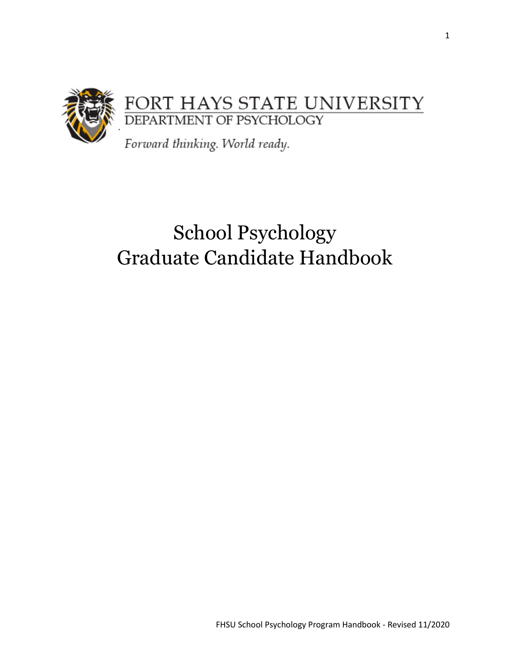

# School Psychology Graduate Candidate Handbook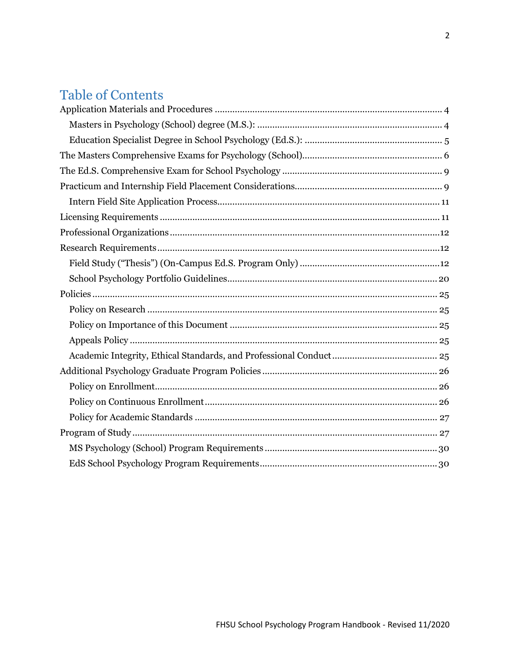# **Table of Contents**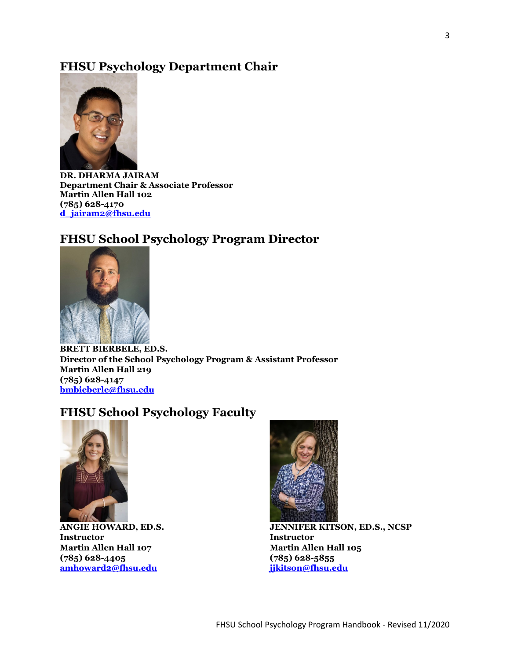# **FHSU Psychology Department Chair**



**DR. DHARMA JAIRAM Department Chair & Associate Professor Martin Allen Hall 102 (785) 628-4170 [d\\_jairam2@fhsu.edu](mailto:d_jairam2@fhsu.edu)**

# **FHSU School Psychology Program Director**



**BRETT BIERBELE, ED.S. Director of the School Psychology Program & Assistant Professor Martin Allen Hall 219 (785) 628-4147 [bmbieberle@fhsu.edu](mailto:bmbieberle@fhsu.edu)**

# **FHSU School Psychology Faculty**



**ANGIE HOWARD, ED.S. Instructor Martin Allen Hall 107 (785) 628-4405 [amhoward2@fhsu.edu](mailto:amhoward2@fhsu.edu)**



**JENNIFER KITSON, ED.S., NCSP Instructor Martin Allen Hall 105 (785) 628-5855 [jjkitson@fhsu.edu](mailto:jjkitson@fhsu.edu)**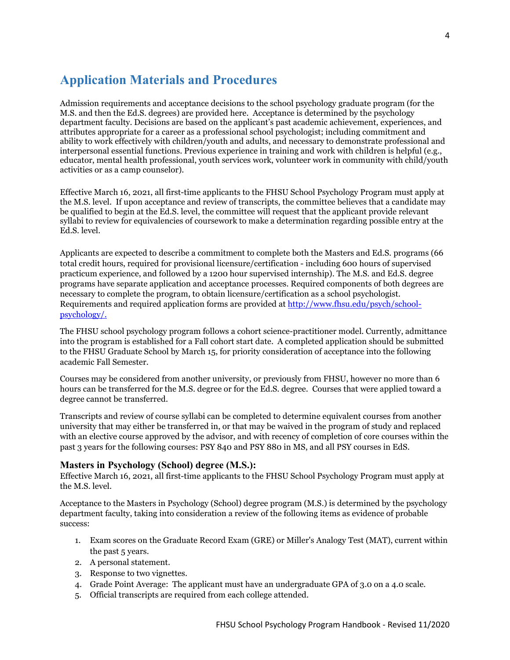# <span id="page-3-0"></span>**Application Materials and Procedures**

Admission requirements and acceptance decisions to the school psychology graduate program (for the M.S. and then the Ed.S. degrees) are provided here. Acceptance is determined by the psychology department faculty. Decisions are based on the applicant's past academic achievement, experiences, and attributes appropriate for a career as a professional school psychologist; including commitment and ability to work effectively with children/youth and adults, and necessary to demonstrate professional and interpersonal essential functions. Previous experience in training and work with children is helpful (e.g., educator, mental health professional, youth services work, volunteer work in community with child/youth activities or as a camp counselor).

Effective March 16, 2021, all first-time applicants to the FHSU School Psychology Program must apply at the M.S. level. If upon acceptance and review of transcripts, the committee believes that a candidate may be qualified to begin at the Ed.S. level, the committee will request that the applicant provide relevant syllabi to review for equivalencies of coursework to make a determination regarding possible entry at the Ed.S. level.

Applicants are expected to describe a commitment to complete both the Masters and Ed.S. programs (66 total credit hours, required for provisional licensure/certification - including 600 hours of supervised practicum experience, and followed by a 1200 hour supervised internship). The M.S. and Ed.S. degree programs have separate application and acceptance processes. Required components of both degrees are necessary to complete the program, to obtain licensure/certification as a school psychologist. Requirements and required application forms are provided a[t http://www.fhsu.edu/psych/school](http://www.fhsu.edu/psych/school-psychology/)[psychology/.](http://www.fhsu.edu/psych/school-psychology/)

The FHSU school psychology program follows a cohort science-practitioner model. Currently, admittance into the program is established for a Fall cohort start date. A completed application should be submitted to the FHSU Graduate School by March 15, for priority consideration of acceptance into the following academic Fall Semester.

Courses may be considered from another university, or previously from FHSU, however no more than 6 hours can be transferred for the M.S. degree or for the Ed.S. degree. Courses that were applied toward a degree cannot be transferred.

Transcripts and review of course syllabi can be completed to determine equivalent courses from another university that may either be transferred in, or that may be waived in the program of study and replaced with an elective course approved by the advisor, and with recency of completion of core courses within the past 3 years for the following courses: PSY 840 and PSY 880 in MS, and all PSY courses in EdS.

# <span id="page-3-1"></span>**Masters in Psychology (School) degree (M.S.):**

Effective March 16, 2021, all first-time applicants to the FHSU School Psychology Program must apply at the M.S. level.

Acceptance to the Masters in Psychology (School) degree program (M.S.) is determined by the psychology department faculty, taking into consideration a review of the following items as evidence of probable success:

- 1. Exam scores on the Graduate Record Exam (GRE) or Miller's Analogy Test (MAT), current within the past 5 years.
- 2. A personal statement.
- 3. Response to two vignettes.
- 4. Grade Point Average: The applicant must have an undergraduate GPA of 3.0 on a 4.0 scale.
- 5. Official transcripts are required from each college attended.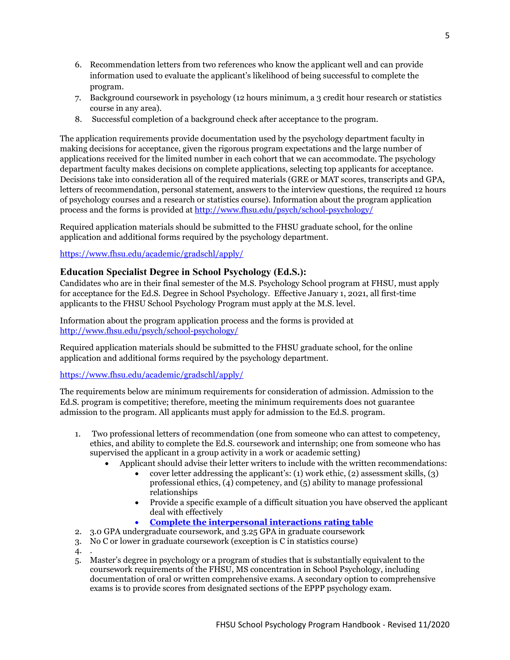- 6. Recommendation letters from two references who know the applicant well and can provide information used to evaluate the applicant's likelihood of being successful to complete the program.
- 7. Background coursework in psychology (12 hours minimum, a 3 credit hour research or statistics course in any area).
- 8. Successful completion of a background check after acceptance to the program.

The application requirements provide documentation used by the psychology department faculty in making decisions for acceptance, given the rigorous program expectations and the large number of applications received for the limited number in each cohort that we can accommodate. The psychology department faculty makes decisions on complete applications, selecting top applicants for acceptance. Decisions take into consideration all of the required materials (GRE or MAT scores, transcripts and GPA, letters of recommendation, personal statement, answers to the interview questions, the required 12 hours of psychology courses and a research or statistics course). Information about the program application process and the forms is provided at<http://www.fhsu.edu/psych/school-psychology/>

Required application materials should be submitted to the FHSU graduate school, for the online application and additional forms required by the psychology department.

# <https://www.fhsu.edu/academic/gradschl/apply/>

# <span id="page-4-0"></span>**Education Specialist Degree in School Psychology (Ed.S.):**

Candidates who are in their final semester of the M.S. Psychology School program at FHSU, must apply for acceptance for the Ed.S. Degree in School Psychology. Effective January 1, 2021, all first-time applicants to the FHSU School Psychology Program must apply at the M.S. level.

Information about the program application process and the forms is provided at <http://www.fhsu.edu/psych/school-psychology/>

Required application materials should be submitted to the FHSU graduate school, for the online application and additional forms required by the psychology department.

# <https://www.fhsu.edu/academic/gradschl/apply/>

The requirements below are minimum requirements for consideration of admission. Admission to the Ed.S. program is competitive; therefore, meeting the minimum requirements does not guarantee admission to the program. All applicants must apply for admission to the Ed.S. program.

- 1. Two professional letters of recommendation (one from someone who can attest to competency, ethics, and ability to complete the Ed.S. coursework and internship; one from someone who has supervised the applicant in a group activity in a work or academic setting)
	- Applicant should advise their letter writers to include with the written recommendations:
		- cover letter addressing the applicant's: (1) work ethic, (2) assessment skills, (3) professional ethics, (4) competency, and (5) ability to manage professional relationships
		- Provide a specific example of a difficult situation you have observed the applicant deal with effectively
		- **[Complete the interpersonal interactions rating table](http://www.fhsu.edu/psych/school-psychology/)**
- 2. 3.0 GPA undergraduate coursework, and 3.25 GPA in graduate coursework
- 3. No C or lower in graduate coursework (exception is C in statistics course)
- 4. .
- 5. Master's degree in psychology or a program of studies that is substantially equivalent to the coursework requirements of the FHSU, MS concentration in School Psychology, including documentation of oral or written comprehensive exams. A secondary option to comprehensive exams is to provide scores from designated sections of the EPPP psychology exam.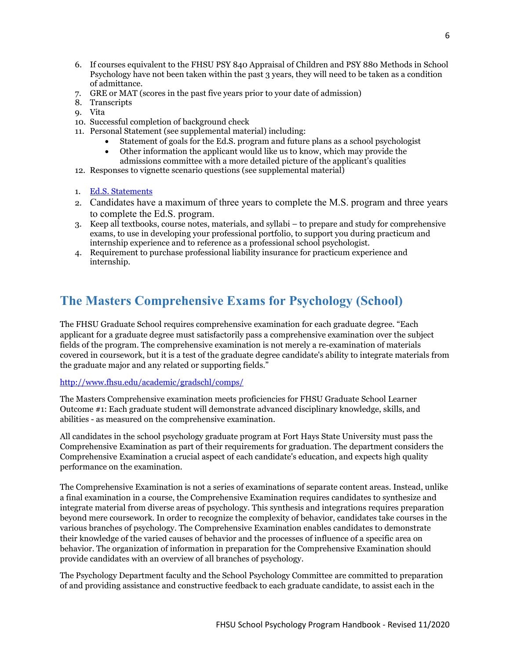- 6. If courses equivalent to the FHSU PSY 840 Appraisal of Children and PSY 880 Methods in School Psychology have not been taken within the past 3 years, they will need to be taken as a condition of admittance.
- 7. GRE or MAT (scores in the past five years prior to your date of admission)
- 8. Transcripts
- 9. Vita
- 10. Successful completion of background check
- 11. Personal Statement (see supplemental material) including:
	- Statement of goals for the Ed.S. program and future plans as a school psychologist
	- Other information the applicant would like us to know, which may provide the admissions committee with a more detailed picture of the applicant's qualities
- 12. Responses to vignette scenario questions (see supplemental material)
- 1. [Ed.S. Statements](http://www.fhsu.edu/psych/school-psychology/)
- 2. Candidates have a maximum of three years to complete the M.S. program and three years to complete the Ed.S. program.
- 3. Keep all textbooks, course notes, materials, and syllabi to prepare and study for comprehensive exams, to use in developing your professional portfolio, to support you during practicum and internship experience and to reference as a professional school psychologist.
- 4. Requirement to purchase professional liability insurance for practicum experience and internship.

# <span id="page-5-0"></span>**The Masters Comprehensive Exams for Psychology (School)**

The FHSU Graduate School requires comprehensive examination for each graduate degree. "Each applicant for a graduate degree must satisfactorily pass a comprehensive examination over the subject fields of the program. The comprehensive examination is not merely a re-examination of materials covered in coursework, but it is a test of the graduate degree candidate's ability to integrate materials from the graduate major and any related or supporting fields."

### <http://www.fhsu.edu/academic/gradschl/comps/>

The Masters Comprehensive examination meets proficiencies for FHSU Graduate School Learner Outcome #1: Each graduate student will demonstrate advanced disciplinary knowledge, skills, and abilities - as measured on the comprehensive examination.

All candidates in the school psychology graduate program at Fort Hays State University must pass the Comprehensive Examination as part of their requirements for graduation. The department considers the Comprehensive Examination a crucial aspect of each candidate's education, and expects high quality performance on the examination.

The Comprehensive Examination is not a series of examinations of separate content areas. Instead, unlike a final examination in a course, the Comprehensive Examination requires candidates to synthesize and integrate material from diverse areas of psychology. This synthesis and integrations requires preparation beyond mere coursework. In order to recognize the complexity of behavior, candidates take courses in the various branches of psychology. The Comprehensive Examination enables candidates to demonstrate their knowledge of the varied causes of behavior and the processes of influence of a specific area on behavior. The organization of information in preparation for the Comprehensive Examination should provide candidates with an overview of all branches of psychology.

The Psychology Department faculty and the School Psychology Committee are committed to preparation of and providing assistance and constructive feedback to each graduate candidate, to assist each in the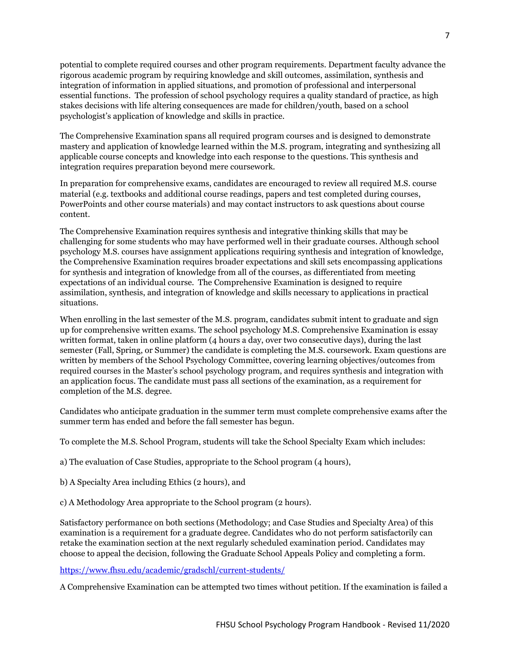potential to complete required courses and other program requirements. Department faculty advance the rigorous academic program by requiring knowledge and skill outcomes, assimilation, synthesis and integration of information in applied situations, and promotion of professional and interpersonal essential functions. The profession of school psychology requires a quality standard of practice, as high stakes decisions with life altering consequences are made for children/youth, based on a school psychologist's application of knowledge and skills in practice.

The Comprehensive Examination spans all required program courses and is designed to demonstrate mastery and application of knowledge learned within the M.S. program, integrating and synthesizing all applicable course concepts and knowledge into each response to the questions. This synthesis and integration requires preparation beyond mere coursework.

In preparation for comprehensive exams, candidates are encouraged to review all required M.S. course material (e.g. textbooks and additional course readings, papers and test completed during courses, PowerPoints and other course materials) and may contact instructors to ask questions about course content.

The Comprehensive Examination requires synthesis and integrative thinking skills that may be challenging for some students who may have performed well in their graduate courses. Although school psychology M.S. courses have assignment applications requiring synthesis and integration of knowledge, the Comprehensive Examination requires broader expectations and skill sets encompassing applications for synthesis and integration of knowledge from all of the courses, as differentiated from meeting expectations of an individual course. The Comprehensive Examination is designed to require assimilation, synthesis, and integration of knowledge and skills necessary to applications in practical situations.

When enrolling in the last semester of the M.S. program, candidates submit intent to graduate and sign up for comprehensive written exams. The school psychology M.S. Comprehensive Examination is essay written format, taken in online platform (4 hours a day, over two consecutive days), during the last semester (Fall, Spring, or Summer) the candidate is completing the M.S. coursework. Exam questions are written by members of the School Psychology Committee, covering learning objectives/outcomes from required courses in the Master's school psychology program, and requires synthesis and integration with an application focus. The candidate must pass all sections of the examination, as a requirement for completion of the M.S. degree.

Candidates who anticipate graduation in the summer term must complete comprehensive exams after the summer term has ended and before the fall semester has begun.

To complete the M.S. School Program, students will take the School Specialty Exam which includes:

a) The evaluation of Case Studies, appropriate to the School program (4 hours),

- b) A Specialty Area including Ethics (2 hours), and
- c) A Methodology Area appropriate to the School program (2 hours).

Satisfactory performance on both sections (Methodology; and Case Studies and Specialty Area) of this examination is a requirement for a graduate degree. Candidates who do not perform satisfactorily can retake the examination section at the next regularly scheduled examination period. Candidates may choose to appeal the decision, following the Graduate School Appeals Policy and completing a form.

<https://www.fhsu.edu/academic/gradschl/current-students/>

A Comprehensive Examination can be attempted two times without petition. If the examination is failed a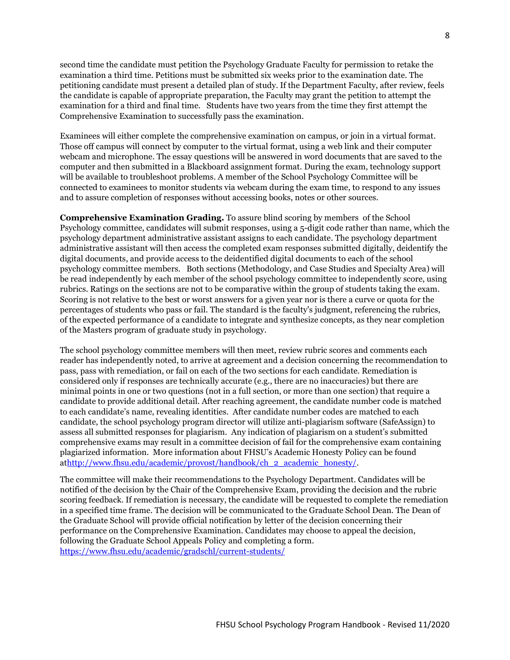second time the candidate must petition the Psychology Graduate Faculty for permission to retake the examination a third time. Petitions must be submitted six weeks prior to the examination date. The petitioning candidate must present a detailed plan of study. If the Department Faculty, after review, feels the candidate is capable of appropriate preparation, the Faculty may grant the petition to attempt the examination for a third and final time. Students have two years from the time they first attempt the Comprehensive Examination to successfully pass the examination.

Examinees will either complete the comprehensive examination on campus, or join in a virtual format. Those off campus will connect by computer to the virtual format, using a web link and their computer webcam and microphone. The essay questions will be answered in word documents that are saved to the computer and then submitted in a Blackboard assignment format. During the exam, technology support will be available to troubleshoot problems. A member of the School Psychology Committee will be connected to examinees to monitor students via webcam during the exam time, to respond to any issues and to assure completion of responses without accessing books, notes or other sources.

**Comprehensive Examination Grading.** To assure blind scoring by members of the School Psychology committee, candidates will submit responses, using a 5-digit code rather than name, which the psychology department administrative assistant assigns to each candidate. The psychology department administrative assistant will then access the completed exam responses submitted digitally, deidentify the digital documents, and provide access to the deidentified digital documents to each of the school psychology committee members. Both sections (Methodology, and Case Studies and Specialty Area) will be read independently by each member of the school psychology committee to independently score, using rubrics. Ratings on the sections are not to be comparative within the group of students taking the exam. Scoring is not relative to the best or worst answers for a given year nor is there a curve or quota for the percentages of students who pass or fail. The standard is the faculty's judgment, referencing the rubrics, of the expected performance of a candidate to integrate and synthesize concepts, as they near completion of the Masters program of graduate study in psychology.

The school psychology committee members will then meet, review rubric scores and comments each reader has independently noted, to arrive at agreement and a decision concerning the recommendation to pass, pass with remediation, or fail on each of the two sections for each candidate. Remediation is considered only if responses are technically accurate (e.g., there are no inaccuracies) but there are minimal points in one or two questions (not in a full section, or more than one section) that require a candidate to provide additional detail. After reaching agreement, the candidate number code is matched to each candidate's name, revealing identities. After candidate number codes are matched to each candidate, the school psychology program director will utilize anti-plagiarism software (SafeAssign) to assess all submitted responses for plagiarism. Any indication of plagiarism on a student's submitted comprehensive exams may result in a committee decision of fail for the comprehensive exam containing plagiarized information. More information about FHSU's Academic Honesty Policy can be found a[thttp://www.fhsu.edu/academic/provost/handbook/ch\\_2\\_academic\\_honesty/.](http://www.fhsu.edu/academic/provost/handbook/ch_2_academic_honesty/) 

The committee will make their recommendations to the Psychology Department. Candidates will be notified of the decision by the Chair of the Comprehensive Exam, providing the decision and the rubric scoring feedback. If remediation is necessary, the candidate will be requested to complete the remediation in a specified time frame. The decision will be communicated to the Graduate School Dean. The Dean of the Graduate School will provide official notification by letter of the decision concerning their performance on the Comprehensive Examination. Candidates may choose to appeal the decision, following the Graduate School Appeals Policy and completing a form. <https://www.fhsu.edu/academic/gradschl/current-students/>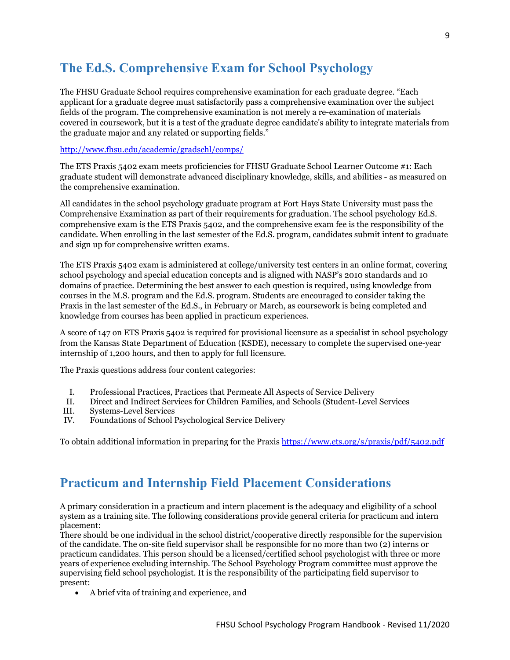# <span id="page-8-0"></span>**The Ed.S. Comprehensive Exam for School Psychology**

The FHSU Graduate School requires comprehensive examination for each graduate degree. "Each applicant for a graduate degree must satisfactorily pass a comprehensive examination over the subject fields of the program. The comprehensive examination is not merely a re-examination of materials covered in coursework, but it is a test of the graduate degree candidate's ability to integrate materials from the graduate major and any related or supporting fields."

### <http://www.fhsu.edu/academic/gradschl/comps/>

The ETS Praxis 5402 exam meets proficiencies for FHSU Graduate School Learner Outcome #1: Each graduate student will demonstrate advanced disciplinary knowledge, skills, and abilities - as measured on the comprehensive examination.

All candidates in the school psychology graduate program at Fort Hays State University must pass the Comprehensive Examination as part of their requirements for graduation. The school psychology Ed.S. comprehensive exam is the ETS Praxis 5402, and the comprehensive exam fee is the responsibility of the candidate. When enrolling in the last semester of the Ed.S. program, candidates submit intent to graduate and sign up for comprehensive written exams.

The ETS Praxis 5402 exam is administered at college/university test centers in an online format, covering school psychology and special education concepts and is aligned with NASP's 2010 standards and 10 domains of practice. Determining the best answer to each question is required, using knowledge from courses in the M.S. program and the Ed.S. program. Students are encouraged to consider taking the Praxis in the last semester of the Ed.S., in February or March, as coursework is being completed and knowledge from courses has been applied in practicum experiences.

A score of 147 on ETS Praxis 5402 is required for provisional licensure as a specialist in school psychology from the Kansas State Department of Education (KSDE), necessary to complete the supervised one-year internship of 1,200 hours, and then to apply for full licensure.

The Praxis questions address four content categories:

- I. Professional Practices, Practices that Permeate All Aspects of Service Delivery
- II. Direct and Indirect Services for Children Families, and Schools (Student-Level Services
- III. Systems-Level Services
- IV. Foundations of School Psychological Service Delivery

To obtain additional information in preparing for the Praxis <https://www.ets.org/s/praxis/pdf/5402.pdf>

# <span id="page-8-1"></span>**Practicum and Internship Field Placement Considerations**

A primary consideration in a practicum and intern placement is the adequacy and eligibility of a school system as a training site. The following considerations provide general criteria for practicum and intern placement:

There should be one individual in the school district/cooperative directly responsible for the supervision of the candidate. The on-site field supervisor shall be responsible for no more than two (2) interns or practicum candidates. This person should be a licensed/certified school psychologist with three or more years of experience excluding internship. The School Psychology Program committee must approve the supervising field school psychologist. It is the responsibility of the participating field supervisor to present:

• A brief vita of training and experience, and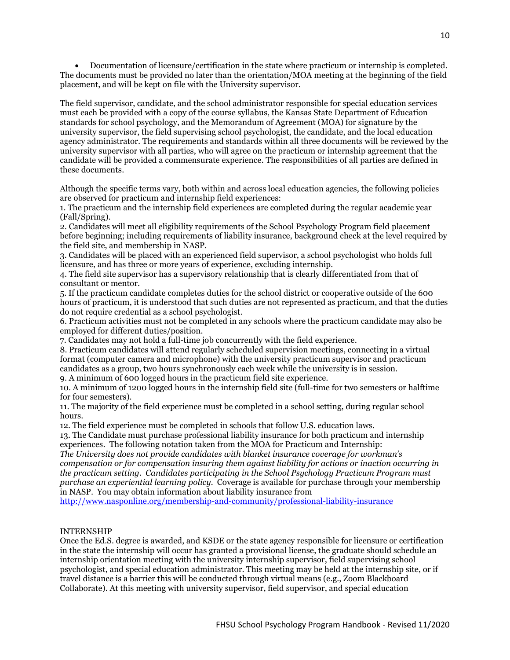• Documentation of licensure/certification in the state where practicum or internship is completed. The documents must be provided no later than the orientation/MOA meeting at the beginning of the field placement, and will be kept on file with the University supervisor.

The field supervisor, candidate, and the school administrator responsible for special education services must each be provided with a copy of the course syllabus, the Kansas State Department of Education standards for school psychology, and the Memorandum of Agreement (MOA) for signature by the university supervisor, the field supervising school psychologist, the candidate, and the local education agency administrator. The requirements and standards within all three documents will be reviewed by the university supervisor with all parties, who will agree on the practicum or internship agreement that the candidate will be provided a commensurate experience. The responsibilities of all parties are defined in these documents.

Although the specific terms vary, both within and across local education agencies, the following policies are observed for practicum and internship field experiences:

1. The practicum and the internship field experiences are completed during the regular academic year (Fall/Spring).

2. Candidates will meet all eligibility requirements of the School Psychology Program field placement before beginning; including requirements of liability insurance, background check at the level required by the field site, and membership in NASP.

3. Candidates will be placed with an experienced field supervisor, a school psychologist who holds full licensure, and has three or more years of experience, excluding internship.

4. The field site supervisor has a supervisory relationship that is clearly differentiated from that of consultant or mentor.

5. If the practicum candidate completes duties for the school district or cooperative outside of the 600 hours of practicum, it is understood that such duties are not represented as practicum, and that the duties do not require credential as a school psychologist.

6. Practicum activities must not be completed in any schools where the practicum candidate may also be employed for different duties/position.

7. Candidates may not hold a full-time job concurrently with the field experience.

8. Practicum candidates will attend regularly scheduled supervision meetings, connecting in a virtual format (computer camera and microphone) with the university practicum supervisor and practicum candidates as a group, two hours synchronously each week while the university is in session.

9. A minimum of 600 logged hours in the practicum field site experience.

10. A minimum of 1200 logged hours in the internship field site (full-time for two semesters or halftime for four semesters).

11. The majority of the field experience must be completed in a school setting, during regular school hours.

12. The field experience must be completed in schools that follow U.S. education laws.

13. The Candidate must purchase professional liability insurance for both practicum and internship experiences. The following notation taken from the MOA for Practicum and Internship:

*The University does not provide candidates with blanket insurance coverage for workman's compensation or for compensation insuring them against liability for actions or inaction occurring in the practicum setting. Candidates participating in the School Psychology Practicum Program must purchase an experiential learning policy.* Coverage is available for purchase through your membership in NASP. You may obtain information about liability insurance from

<http://www.nasponline.org/membership-and-community/professional-liability-insurance>

### INTERNSHIP

Once the Ed.S. degree is awarded, and KSDE or the state agency responsible for licensure or certification in the state the internship will occur has granted a provisional license, the graduate should schedule an internship orientation meeting with the university internship supervisor, field supervising school psychologist, and special education administrator. This meeting may be held at the internship site, or if travel distance is a barrier this will be conducted through virtual means (e.g., Zoom Blackboard Collaborate). At this meeting with university supervisor, field supervisor, and special education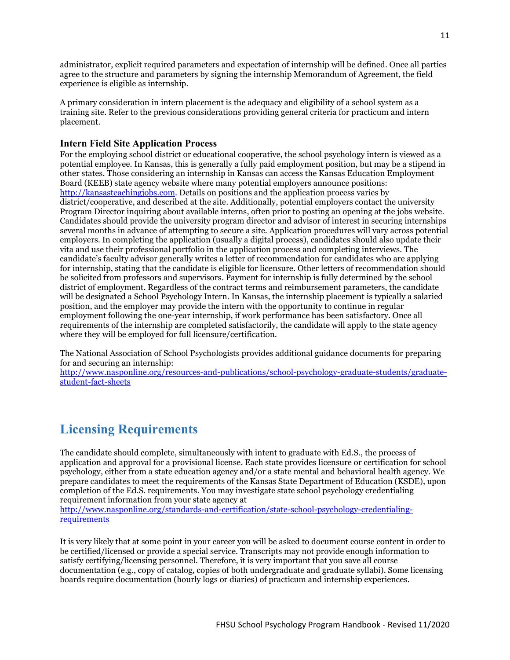administrator, explicit required parameters and expectation of internship will be defined. Once all parties agree to the structure and parameters by signing the internship Memorandum of Agreement, the field experience is eligible as internship.

A primary consideration in intern placement is the adequacy and eligibility of a school system as a training site. Refer to the previous considerations providing general criteria for practicum and intern placement.

# <span id="page-10-0"></span>**Intern Field Site Application Process**

For the employing school district or educational cooperative, the school psychology intern is viewed as a potential employee. In Kansas, this is generally a fully paid employment position, but may be a stipend in other states. Those considering an internship in Kansas can access the Kansas Education Employment Board (KEEB) state agency website where many potential employers announce positions: [http://kansasteachingjobs.com.](http://kansasteachingjobs.com/) Details on positions and the application process varies by district/cooperative, and described at the site. Additionally, potential employers contact the university Program Director inquiring about available interns, often prior to posting an opening at the jobs website. Candidates should provide the university program director and advisor of interest in securing internships several months in advance of attempting to secure a site. Application procedures will vary across potential employers. In completing the application (usually a digital process), candidates should also update their vita and use their professional portfolio in the application process and completing interviews. The candidate's faculty advisor generally writes a letter of recommendation for candidates who are applying for internship, stating that the candidate is eligible for licensure. Other letters of recommendation should be solicited from professors and supervisors. Payment for internship is fully determined by the school district of employment. Regardless of the contract terms and reimbursement parameters, the candidate will be designated a School Psychology Intern. In Kansas, the internship placement is typically a salaried position, and the employer may provide the intern with the opportunity to continue in regular employment following the one-year internship, if work performance has been satisfactory. Once all requirements of the internship are completed satisfactorily, the candidate will apply to the state agency where they will be employed for full licensure/certification.

The National Association of School Psychologists provides additional guidance documents for preparing for and securing an internship:

[http://www.nasponline.org/resources-and-publications/school-psychology-graduate-students/graduate](http://www.nasponline.org/resources-and-publications/school-psychology-graduate-students/graduate-student-fact-sheets)[student-fact-sheets](http://www.nasponline.org/resources-and-publications/school-psychology-graduate-students/graduate-student-fact-sheets)

# <span id="page-10-1"></span>**Licensing Requirements**

The candidate should complete, simultaneously with intent to graduate with Ed.S., the process of application and approval for a provisional license. Each state provides licensure or certification for school psychology, either from a state education agency and/or a state mental and behavioral health agency. We prepare candidates to meet the requirements of the Kansas State Department of Education (KSDE), upon completion of the Ed.S. requirements. You may investigate state school psychology credentialing requirement information from your state agency at

[http://www.nasponline.org/standards-and-certification/state-school-psychology-credentialing](http://www.nasponline.org/standards-and-certification/state-school-psychology-credentialing-requirements)[requirements](http://www.nasponline.org/standards-and-certification/state-school-psychology-credentialing-requirements)

It is very likely that at some point in your career you will be asked to document course content in order to be certified/licensed or provide a special service. Transcripts may not provide enough information to satisfy certifying/licensing personnel. Therefore, it is very important that you save all course documentation (e.g., copy of catalog, copies of both undergraduate and graduate syllabi). Some licensing boards require documentation (hourly logs or diaries) of practicum and internship experiences.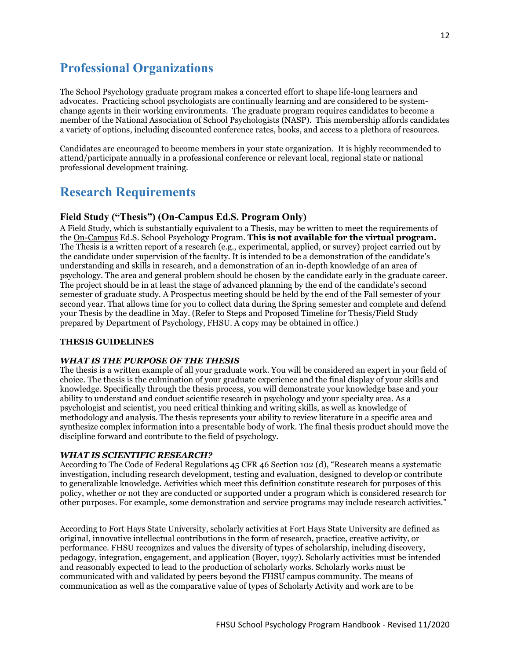# <span id="page-11-0"></span>**Professional Organizations**

The School Psychology graduate program makes a concerted effort to shape life-long learners and advocates. Practicing school psychologists are continually learning and are considered to be systemchange agents in their working environments. The graduate program requires candidates to become a member of the National Association of School Psychologists (NASP). This membership affords candidates a variety of options, including discounted conference rates, books, and access to a plethora of resources.

Candidates are encouraged to become members in your state organization. It is highly recommended to attend/participate annually in a professional conference or relevant local, regional state or national professional development training.

# <span id="page-11-1"></span>**Research Requirements**

# <span id="page-11-2"></span>**Field Study ("Thesis") (On-Campus Ed.S. Program Only)**

A Field Study, which is substantially equivalent to a Thesis, may be written to meet the requirements of the On-Campus Ed.S. School Psychology Program. **This is not available for the virtual program.** The Thesis is a written report of a research (e.g., experimental, applied, or survey) project carried out by the candidate under supervision of the faculty. It is intended to be a demonstration of the candidate's understanding and skills in research, and a demonstration of an in-depth knowledge of an area of psychology. The area and general problem should be chosen by the candidate early in the graduate career. The project should be in at least the stage of advanced planning by the end of the candidate's second semester of graduate study. A Prospectus meeting should be held by the end of the Fall semester of your second year. That allows time for you to collect data during the Spring semester and complete and defend your Thesis by the deadline in May. (Refer to Steps and Proposed Timeline for Thesis/Field Study prepared by Department of Psychology, FHSU. A copy may be obtained in office.)

#### **THESIS GUIDELINES**

#### *WHAT IS THE PURPOSE OF THE THESIS*

The thesis is a written example of all your graduate work. You will be considered an expert in your field of choice. The thesis is the culmination of your graduate experience and the final display of your skills and knowledge. Specifically through the thesis process, you will demonstrate your knowledge base and your ability to understand and conduct scientific research in psychology and your specialty area. As a psychologist and scientist, you need critical thinking and writing skills, as well as knowledge of methodology and analysis. The thesis represents your ability to review literature in a specific area and synthesize complex information into a presentable body of work. The final thesis product should move the discipline forward and contribute to the field of psychology.

#### *WHAT IS SCIENTIFIC RESEARCH?*

According to The Code of Federal Regulations 45 CFR 46 Section 102 (d), "Research means a systematic investigation, including research development, testing and evaluation, designed to develop or contribute to generalizable knowledge. Activities which meet this definition constitute research for purposes of this policy, whether or not they are conducted or supported under a program which is considered research for other purposes. For example, some demonstration and service programs may include research activities."

According to Fort Hays State University, scholarly activities at Fort Hays State University are defined as original, innovative intellectual contributions in the form of research, practice, creative activity, or performance. FHSU recognizes and values the diversity of types of scholarship, including discovery, pedagogy, integration, engagement, and application (Boyer, 1997). Scholarly activities must be intended and reasonably expected to lead to the production of scholarly works. Scholarly works must be communicated with and validated by peers beyond the FHSU campus community. The means of communication as well as the comparative value of types of Scholarly Activity and work are to be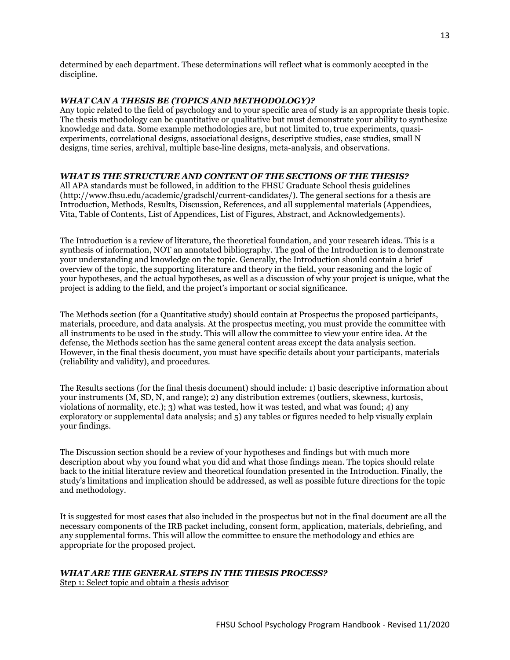determined by each department. These determinations will reflect what is commonly accepted in the discipline.

#### *WHAT CAN A THESIS BE (TOPICS AND METHODOLOGY)?*

Any topic related to the field of psychology and to your specific area of study is an appropriate thesis topic. The thesis methodology can be quantitative or qualitative but must demonstrate your ability to synthesize knowledge and data. Some example methodologies are, but not limited to, true experiments, quasiexperiments, correlational designs, associational designs, descriptive studies, case studies, small N designs, time series, archival, multiple base-line designs, meta-analysis, and observations.

# *WHAT IS THE STRUCTURE AND CONTENT OF THE SECTIONS OF THE THESIS?*

All APA standards must be followed, in addition to the FHSU Graduate School thesis guidelines (http://www.fhsu.edu/academic/gradschl/current-candidates/). The general sections for a thesis are Introduction, Methods, Results, Discussion, References, and all supplemental materials (Appendices, Vita, Table of Contents, List of Appendices, List of Figures, Abstract, and Acknowledgements).

The Introduction is a review of literature, the theoretical foundation, and your research ideas. This is a synthesis of information, NOT an annotated bibliography. The goal of the Introduction is to demonstrate your understanding and knowledge on the topic. Generally, the Introduction should contain a brief overview of the topic, the supporting literature and theory in the field, your reasoning and the logic of your hypotheses, and the actual hypotheses, as well as a discussion of why your project is unique, what the project is adding to the field, and the project's important or social significance.

The Methods section (for a Quantitative study) should contain at Prospectus the proposed participants, materials, procedure, and data analysis. At the prospectus meeting, you must provide the committee with all instruments to be used in the study. This will allow the committee to view your entire idea. At the defense, the Methods section has the same general content areas except the data analysis section. However, in the final thesis document, you must have specific details about your participants, materials (reliability and validity), and procedures.

The Results sections (for the final thesis document) should include: 1) basic descriptive information about your instruments (M, SD, N, and range); 2) any distribution extremes (outliers, skewness, kurtosis, violations of normality, etc.); 3) what was tested, how it was tested, and what was found; 4) any exploratory or supplemental data analysis; and 5) any tables or figures needed to help visually explain your findings.

The Discussion section should be a review of your hypotheses and findings but with much more description about why you found what you did and what those findings mean. The topics should relate back to the initial literature review and theoretical foundation presented in the Introduction. Finally, the study's limitations and implication should be addressed, as well as possible future directions for the topic and methodology.

It is suggested for most cases that also included in the prospectus but not in the final document are all the necessary components of the IRB packet including, consent form, application, materials, debriefing, and any supplemental forms. This will allow the committee to ensure the methodology and ethics are appropriate for the proposed project.

# *WHAT ARE THE GENERAL STEPS IN THE THESIS PROCESS?*

Step 1: Select topic and obtain a thesis advisor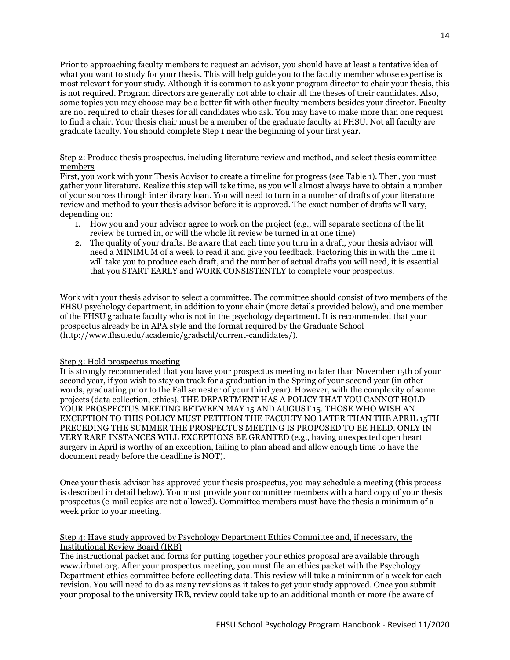Prior to approaching faculty members to request an advisor, you should have at least a tentative idea of what you want to study for your thesis. This will help guide you to the faculty member whose expertise is most relevant for your study. Although it is common to ask your program director to chair your thesis, this is not required. Program directors are generally not able to chair all the theses of their candidates. Also, some topics you may choose may be a better fit with other faculty members besides your director. Faculty are not required to chair theses for all candidates who ask. You may have to make more than one request to find a chair. Your thesis chair must be a member of the graduate faculty at FHSU. Not all faculty are graduate faculty. You should complete Step 1 near the beginning of your first year.

#### Step 2: Produce thesis prospectus, including literature review and method, and select thesis committee members

First, you work with your Thesis Advisor to create a timeline for progress (see Table 1). Then, you must gather your literature. Realize this step will take time, as you will almost always have to obtain a number of your sources through interlibrary loan. You will need to turn in a number of drafts of your literature review and method to your thesis advisor before it is approved. The exact number of drafts will vary, depending on:

- 1. How you and your advisor agree to work on the project (e.g., will separate sections of the lit review be turned in, or will the whole lit review be turned in at one time)
- 2. The quality of your drafts. Be aware that each time you turn in a draft, your thesis advisor will need a MINIMUM of a week to read it and give you feedback. Factoring this in with the time it will take you to produce each draft, and the number of actual drafts you will need, it is essential that you START EARLY and WORK CONSISTENTLY to complete your prospectus.

Work with your thesis advisor to select a committee. The committee should consist of two members of the FHSU psychology department, in addition to your chair (more details provided below), and one member of the FHSU graduate faculty who is not in the psychology department. It is recommended that your prospectus already be in APA style and the format required by the Graduate School (http://www.fhsu.edu/academic/gradschl/current-candidates/).

#### Step 3: Hold prospectus meeting

It is strongly recommended that you have your prospectus meeting no later than November 15th of your second year, if you wish to stay on track for a graduation in the Spring of your second year (in other words, graduating prior to the Fall semester of your third year). However, with the complexity of some projects (data collection, ethics), THE DEPARTMENT HAS A POLICY THAT YOU CANNOT HOLD YOUR PROSPECTUS MEETING BETWEEN MAY 15 AND AUGUST 15. THOSE WHO WISH AN EXCEPTION TO THIS POLICY MUST PETITION THE FACULTY NO LATER THAN THE APRIL 15TH PRECEDING THE SUMMER THE PROSPECTUS MEETING IS PROPOSED TO BE HELD. ONLY IN VERY RARE INSTANCES WILL EXCEPTIONS BE GRANTED (e.g., having unexpected open heart surgery in April is worthy of an exception, failing to plan ahead and allow enough time to have the document ready before the deadline is NOT).

Once your thesis advisor has approved your thesis prospectus, you may schedule a meeting (this process is described in detail below). You must provide your committee members with a hard copy of your thesis prospectus (e-mail copies are not allowed). Committee members must have the thesis a minimum of a week prior to your meeting.

#### Step 4: Have study approved by Psychology Department Ethics Committee and, if necessary, the Institutional Review Board (IRB)

The instructional packet and forms for putting together your ethics proposal are available through www.irbnet.org. After your prospectus meeting, you must file an ethics packet with the Psychology Department ethics committee before collecting data. This review will take a minimum of a week for each revision. You will need to do as many revisions as it takes to get your study approved. Once you submit your proposal to the university IRB, review could take up to an additional month or more (be aware of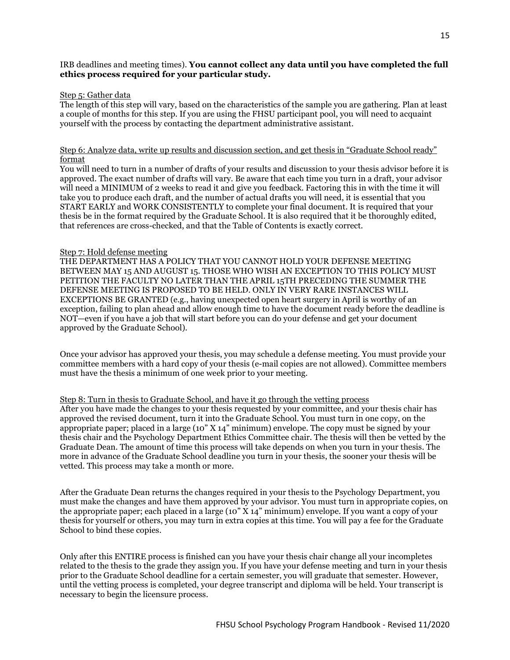#### IRB deadlines and meeting times). **You cannot collect any data until you have completed the full ethics process required for your particular study.**

#### Step 5: Gather data

The length of this step will vary, based on the characteristics of the sample you are gathering. Plan at least a couple of months for this step. If you are using the FHSU participant pool, you will need to acquaint yourself with the process by contacting the department administrative assistant.

#### Step 6: Analyze data, write up results and discussion section, and get thesis in "Graduate School ready" format

You will need to turn in a number of drafts of your results and discussion to your thesis advisor before it is approved. The exact number of drafts will vary. Be aware that each time you turn in a draft, your advisor will need a MINIMUM of 2 weeks to read it and give you feedback. Factoring this in with the time it will take you to produce each draft, and the number of actual drafts you will need, it is essential that you START EARLY and WORK CONSISTENTLY to complete your final document. It is required that your thesis be in the format required by the Graduate School. It is also required that it be thoroughly edited, that references are cross-checked, and that the Table of Contents is exactly correct.

#### Step 7: Hold defense meeting

THE DEPARTMENT HAS A POLICY THAT YOU CANNOT HOLD YOUR DEFENSE MEETING BETWEEN MAY 15 AND AUGUST 15. THOSE WHO WISH AN EXCEPTION TO THIS POLICY MUST PETITION THE FACULTY NO LATER THAN THE APRIL 15TH PRECEDING THE SUMMER THE DEFENSE MEETING IS PROPOSED TO BE HELD. ONLY IN VERY RARE INSTANCES WILL EXCEPTIONS BE GRANTED (e.g., having unexpected open heart surgery in April is worthy of an exception, failing to plan ahead and allow enough time to have the document ready before the deadline is NOT—even if you have a job that will start before you can do your defense and get your document approved by the Graduate School).

Once your advisor has approved your thesis, you may schedule a defense meeting. You must provide your committee members with a hard copy of your thesis (e-mail copies are not allowed). Committee members must have the thesis a minimum of one week prior to your meeting.

### Step 8: Turn in thesis to Graduate School, and have it go through the vetting process

After you have made the changes to your thesis requested by your committee, and your thesis chair has approved the revised document, turn it into the Graduate School. You must turn in one copy, on the appropriate paper; placed in a large (10" X 14" minimum) envelope. The copy must be signed by your thesis chair and the Psychology Department Ethics Committee chair. The thesis will then be vetted by the Graduate Dean. The amount of time this process will take depends on when you turn in your thesis. The more in advance of the Graduate School deadline you turn in your thesis, the sooner your thesis will be vetted. This process may take a month or more.

After the Graduate Dean returns the changes required in your thesis to the Psychology Department, you must make the changes and have them approved by your advisor. You must turn in appropriate copies, on the appropriate paper; each placed in a large (10" X 14" minimum) envelope. If you want a copy of your thesis for yourself or others, you may turn in extra copies at this time. You will pay a fee for the Graduate School to bind these copies.

Only after this ENTIRE process is finished can you have your thesis chair change all your incompletes related to the thesis to the grade they assign you. If you have your defense meeting and turn in your thesis prior to the Graduate School deadline for a certain semester, you will graduate that semester. However, until the vetting process is completed, your degree transcript and diploma will be held. Your transcript is necessary to begin the licensure process.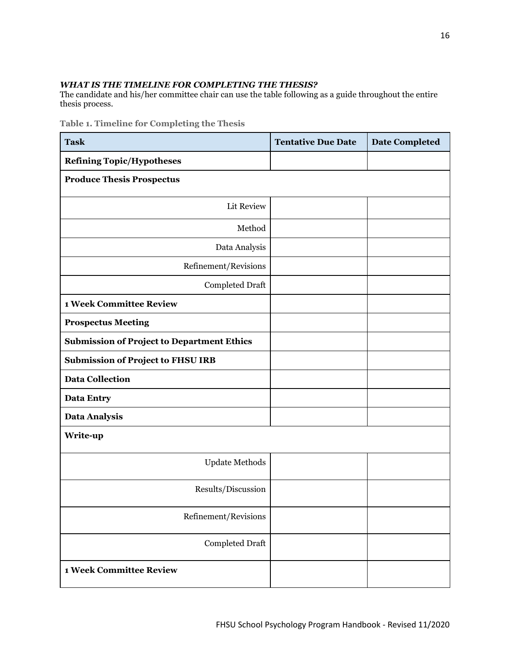# *WHAT IS THE TIMELINE FOR COMPLETING THE THESIS?*

The candidate and his/her committee chair can use the table following as a guide throughout the entire thesis process.

**Table 1. Timeline for Completing the Thesis**

| <b>Task</b>                                       | <b>Tentative Due Date</b> | <b>Date Completed</b> |  |  |
|---------------------------------------------------|---------------------------|-----------------------|--|--|
| <b>Refining Topic/Hypotheses</b>                  |                           |                       |  |  |
| <b>Produce Thesis Prospectus</b>                  |                           |                       |  |  |
| Lit Review                                        |                           |                       |  |  |
| Method                                            |                           |                       |  |  |
| Data Analysis                                     |                           |                       |  |  |
| Refinement/Revisions                              |                           |                       |  |  |
| Completed Draft                                   |                           |                       |  |  |
| <b>1 Week Committee Review</b>                    |                           |                       |  |  |
| <b>Prospectus Meeting</b>                         |                           |                       |  |  |
| <b>Submission of Project to Department Ethics</b> |                           |                       |  |  |
| <b>Submission of Project to FHSU IRB</b>          |                           |                       |  |  |
| <b>Data Collection</b>                            |                           |                       |  |  |
| <b>Data Entry</b>                                 |                           |                       |  |  |
| <b>Data Analysis</b>                              |                           |                       |  |  |
| Write-up                                          |                           |                       |  |  |
| <b>Update Methods</b>                             |                           |                       |  |  |
| Results/Discussion                                |                           |                       |  |  |
| Refinement/Revisions                              |                           |                       |  |  |
| <b>Completed Draft</b>                            |                           |                       |  |  |
| <b>1 Week Committee Review</b>                    |                           |                       |  |  |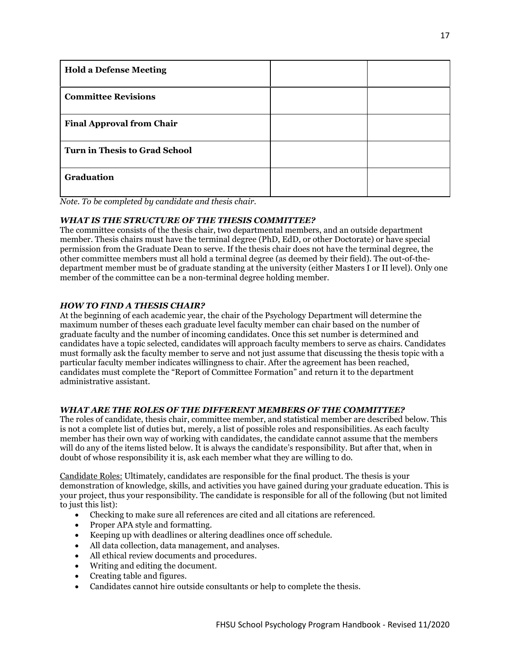| <b>Hold a Defense Meeting</b>        |  |
|--------------------------------------|--|
| <b>Committee Revisions</b>           |  |
| <b>Final Approval from Chair</b>     |  |
| <b>Turn in Thesis to Grad School</b> |  |
| Graduation                           |  |

*Note. To be completed by candidate and thesis chair.*

# *WHAT IS THE STRUCTURE OF THE THESIS COMMITTEE?*

The committee consists of the thesis chair, two departmental members, and an outside department member. Thesis chairs must have the terminal degree (PhD, EdD, or other Doctorate) or have special permission from the Graduate Dean to serve. If the thesis chair does not have the terminal degree, the other committee members must all hold a terminal degree (as deemed by their field). The out-of-thedepartment member must be of graduate standing at the university (either Masters I or II level). Only one member of the committee can be a non-terminal degree holding member.

# *HOW TO FIND A THESIS CHAIR?*

At the beginning of each academic year, the chair of the Psychology Department will determine the maximum number of theses each graduate level faculty member can chair based on the number of graduate faculty and the number of incoming candidates. Once this set number is determined and candidates have a topic selected, candidates will approach faculty members to serve as chairs. Candidates must formally ask the faculty member to serve and not just assume that discussing the thesis topic with a particular faculty member indicates willingness to chair. After the agreement has been reached, candidates must complete the "Report of Committee Formation" and return it to the department administrative assistant.

# *WHAT ARE THE ROLES OF THE DIFFERENT MEMBERS OF THE COMMITTEE?*

The roles of candidate, thesis chair, committee member, and statistical member are described below. This is not a complete list of duties but, merely, a list of possible roles and responsibilities. As each faculty member has their own way of working with candidates, the candidate cannot assume that the members will do any of the items listed below. It is always the candidate's responsibility. But after that, when in doubt of whose responsibility it is, ask each member what they are willing to do.

Candidate Roles: Ultimately, candidates are responsible for the final product. The thesis is your demonstration of knowledge, skills, and activities you have gained during your graduate education. This is your project, thus your responsibility. The candidate is responsible for all of the following (but not limited to just this list):

- Checking to make sure all references are cited and all citations are referenced.
- Proper APA style and formatting.
- Keeping up with deadlines or altering deadlines once off schedule.
- All data collection, data management, and analyses.
- All ethical review documents and procedures.
- Writing and editing the document.
- Creating table and figures.
- Candidates cannot hire outside consultants or help to complete the thesis.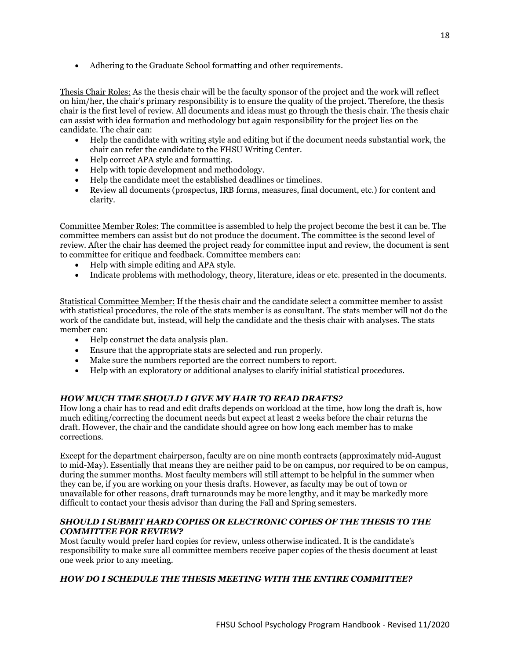• Adhering to the Graduate School formatting and other requirements.

Thesis Chair Roles: As the thesis chair will be the faculty sponsor of the project and the work will reflect on him/her, the chair's primary responsibility is to ensure the quality of the project. Therefore, the thesis chair is the first level of review. All documents and ideas must go through the thesis chair. The thesis chair can assist with idea formation and methodology but again responsibility for the project lies on the candidate. The chair can:

- Help the candidate with writing style and editing but if the document needs substantial work, the chair can refer the candidate to the FHSU Writing Center.
- Help correct APA style and formatting.
- Help with topic development and methodology.
- Help the candidate meet the established deadlines or timelines.
- Review all documents (prospectus, IRB forms, measures, final document, etc.) for content and clarity.

Committee Member Roles: The committee is assembled to help the project become the best it can be. The committee members can assist but do not produce the document. The committee is the second level of review. After the chair has deemed the project ready for committee input and review, the document is sent to committee for critique and feedback. Committee members can:

- Help with simple editing and APA style.
- Indicate problems with methodology, theory, literature, ideas or etc. presented in the documents.

Statistical Committee Member: If the thesis chair and the candidate select a committee member to assist with statistical procedures, the role of the stats member is as consultant. The stats member will not do the work of the candidate but, instead, will help the candidate and the thesis chair with analyses. The stats member can:

- Help construct the data analysis plan.
- Ensure that the appropriate stats are selected and run properly.
- Make sure the numbers reported are the correct numbers to report.
- Help with an exploratory or additional analyses to clarify initial statistical procedures.

# *HOW MUCH TIME SHOULD I GIVE MY HAIR TO READ DRAFTS?*

How long a chair has to read and edit drafts depends on workload at the time, how long the draft is, how much editing/correcting the document needs but expect at least 2 weeks before the chair returns the draft. However, the chair and the candidate should agree on how long each member has to make corrections.

Except for the department chairperson, faculty are on nine month contracts (approximately mid-August to mid-May). Essentially that means they are neither paid to be on campus, nor required to be on campus, during the summer months. Most faculty members will still attempt to be helpful in the summer when they can be, if you are working on your thesis drafts. However, as faculty may be out of town or unavailable for other reasons, draft turnarounds may be more lengthy, and it may be markedly more difficult to contact your thesis advisor than during the Fall and Spring semesters.

### *SHOULD I SUBMIT HARD COPIES OR ELECTRONIC COPIES OF THE THESIS TO THE COMMITTEE FOR REVIEW?*

Most faculty would prefer hard copies for review, unless otherwise indicated. It is the candidate's responsibility to make sure all committee members receive paper copies of the thesis document at least one week prior to any meeting.

# *HOW DO I SCHEDULE THE THESIS MEETING WITH THE ENTIRE COMMITTEE?*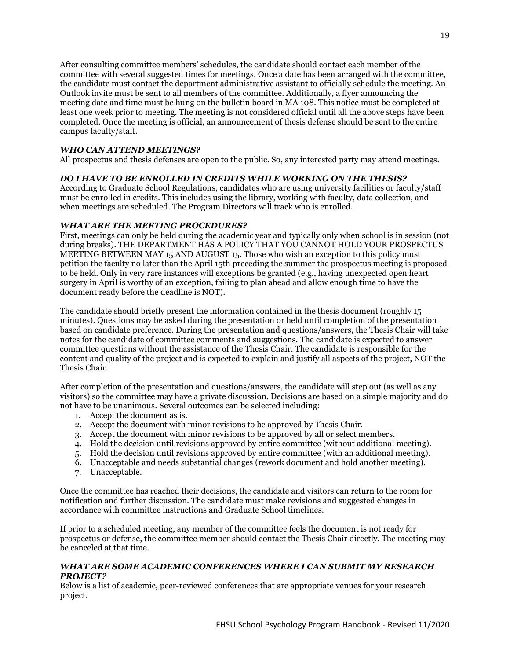After consulting committee members' schedules, the candidate should contact each member of the committee with several suggested times for meetings. Once a date has been arranged with the committee, the candidate must contact the department administrative assistant to officially schedule the meeting. An Outlook invite must be sent to all members of the committee. Additionally, a flyer announcing the meeting date and time must be hung on the bulletin board in MA 108. This notice must be completed at least one week prior to meeting. The meeting is not considered official until all the above steps have been completed. Once the meeting is official, an announcement of thesis defense should be sent to the entire campus faculty/staff.

### *WHO CAN ATTEND MEETINGS?*

All prospectus and thesis defenses are open to the public. So, any interested party may attend meetings.

#### *DO I HAVE TO BE ENROLLED IN CREDITS WHILE WORKING ON THE THESIS?*

According to Graduate School Regulations, candidates who are using university facilities or faculty/staff must be enrolled in credits. This includes using the library, working with faculty, data collection, and when meetings are scheduled. The Program Directors will track who is enrolled.

#### *WHAT ARE THE MEETING PROCEDURES?*

First, meetings can only be held during the academic year and typically only when school is in session (not during breaks). THE DEPARTMENT HAS A POLICY THAT YOU CANNOT HOLD YOUR PROSPECTUS MEETING BETWEEN MAY 15 AND AUGUST 15. Those who wish an exception to this policy must petition the faculty no later than the April 15th preceding the summer the prospectus meeting is proposed to be held. Only in very rare instances will exceptions be granted (e.g., having unexpected open heart surgery in April is worthy of an exception, failing to plan ahead and allow enough time to have the document ready before the deadline is NOT).

The candidate should briefly present the information contained in the thesis document (roughly 15 minutes). Questions may be asked during the presentation or held until completion of the presentation based on candidate preference. During the presentation and questions/answers, the Thesis Chair will take notes for the candidate of committee comments and suggestions. The candidate is expected to answer committee questions without the assistance of the Thesis Chair. The candidate is responsible for the content and quality of the project and is expected to explain and justify all aspects of the project, NOT the Thesis Chair.

After completion of the presentation and questions/answers, the candidate will step out (as well as any visitors) so the committee may have a private discussion. Decisions are based on a simple majority and do not have to be unanimous. Several outcomes can be selected including:

- 1. Accept the document as is.
- 2. Accept the document with minor revisions to be approved by Thesis Chair.
- 3. Accept the document with minor revisions to be approved by all or select members.
- 4. Hold the decision until revisions approved by entire committee (without additional meeting).
- 5. Hold the decision until revisions approved by entire committee (with an additional meeting).
- 6. Unacceptable and needs substantial changes (rework document and hold another meeting).
- 7. Unacceptable.

Once the committee has reached their decisions, the candidate and visitors can return to the room for notification and further discussion. The candidate must make revisions and suggested changes in accordance with committee instructions and Graduate School timelines.

If prior to a scheduled meeting, any member of the committee feels the document is not ready for prospectus or defense, the committee member should contact the Thesis Chair directly. The meeting may be canceled at that time.

#### *WHAT ARE SOME ACADEMIC CONFERENCES WHERE I CAN SUBMIT MY RESEARCH PROJECT?*

Below is a list of academic, peer-reviewed conferences that are appropriate venues for your research project.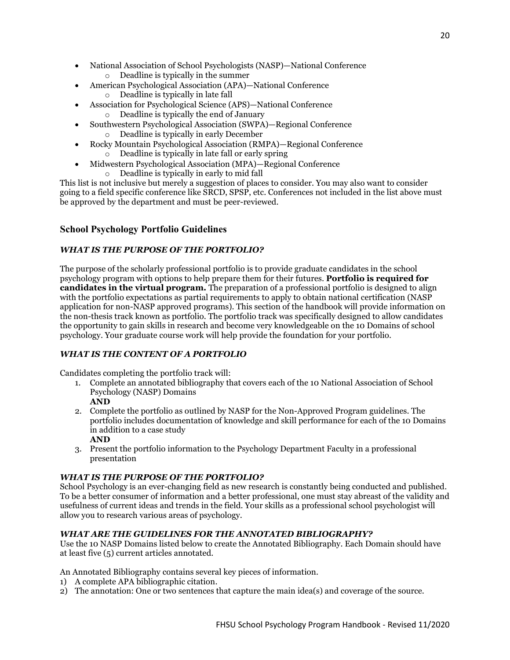- National Association of School Psychologists (NASP)—National Conference
	- o Deadline is typically in the summer
- American Psychological Association (APA)—National Conference o Deadline is typically in late fall
- Association for Psychological Science (APS)—National Conference
	- o Deadline is typically the end of January
- Southwestern Psychological Association (SWPA)—Regional Conference o Deadline is typically in early December
- Rocky Mountain Psychological Association (RMPA)—Regional Conference o Deadline is typically in late fall or early spring
	- Midwestern Psychological Association (MPA)—Regional Conference
		- o Deadline is typically in early to mid fall

This list is not inclusive but merely a suggestion of places to consider. You may also want to consider going to a field specific conference like SRCD, SPSP, etc. Conferences not included in the list above must be approved by the department and must be peer-reviewed.

# <span id="page-19-0"></span>**School Psychology Portfolio Guidelines**

### *WHAT IS THE PURPOSE OF THE PORTFOLIO?*

The purpose of the scholarly professional portfolio is to provide graduate candidates in the school psychology program with options to help prepare them for their futures. **Portfolio is required for candidates in the virtual program.** The preparation of a professional portfolio is designed to align with the portfolio expectations as partial requirements to apply to obtain national certification (NASP application for non-NASP approved programs). This section of the handbook will provide information on the non-thesis track known as portfolio. The portfolio track was specifically designed to allow candidates the opportunity to gain skills in research and become very knowledgeable on the 10 Domains of school psychology. Your graduate course work will help provide the foundation for your portfolio.

# *WHAT IS THE CONTENT OF A PORTFOLIO*

Candidates completing the portfolio track will:

- 1. Complete an annotated bibliography that covers each of the 10 National Association of School Psychology (NASP) Domains **AND**
- 2. Complete the portfolio as outlined by NASP for the Non-Approved Program guidelines. The portfolio includes documentation of knowledge and skill performance for each of the 10 Domains in addition to a case study **AND**
- 3. Present the portfolio information to the Psychology Department Faculty in a professional presentation

#### *WHAT IS THE PURPOSE OF THE PORTFOLIO?*

School Psychology is an ever-changing field as new research is constantly being conducted and published. To be a better consumer of information and a better professional, one must stay abreast of the validity and usefulness of current ideas and trends in the field. Your skills as a professional school psychologist will allow you to research various areas of psychology.

#### *WHAT ARE THE GUIDELINES FOR THE ANNOTATED BIBLIOGRAPHY?*

Use the 10 NASP Domains listed below to create the Annotated Bibliography. Each Domain should have at least five (5) current articles annotated.

An Annotated Bibliography contains several key pieces of information.

- 1) A complete APA bibliographic citation.
- 2) The annotation: One or two sentences that capture the main idea(s) and coverage of the source.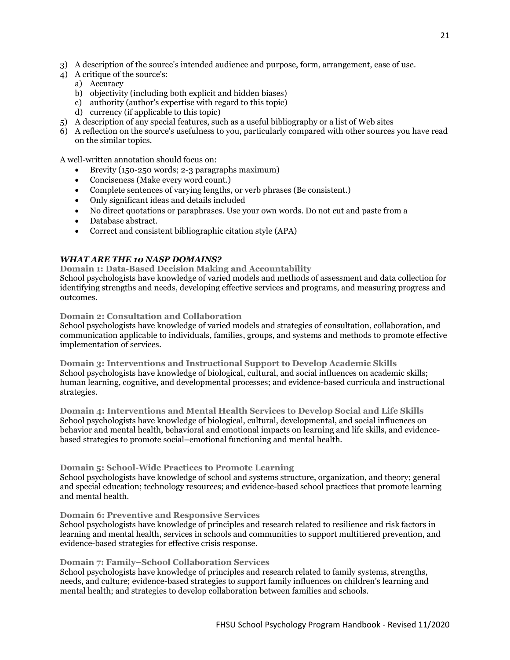- 3) A description of the source's intended audience and purpose, form, arrangement, ease of use.
- 4) A critique of the source's:
	- a) Accuracy
	- b) objectivity (including both explicit and hidden biases)
	- c) authority (author's expertise with regard to this topic)
	- d) currency (if applicable to this topic)
- 5) A description of any special features, such as a useful bibliography or a list of Web sites
- 6) A reflection on the source's usefulness to you, particularly compared with other sources you have read on the similar topics.

A well-written annotation should focus on:

- Brevity (150-250 words; 2-3 paragraphs maximum)
- Conciseness (Make every word count.)
- Complete sentences of varying lengths, or verb phrases (Be consistent.)
- Only significant ideas and details included
- No direct quotations or paraphrases. Use your own words. Do not cut and paste from a
- Database abstract.
- Correct and consistent bibliographic citation style (APA)

### *WHAT ARE THE 10 NASP DOMAINS?*

**Domain 1: Data-Based Decision Making and Accountability** School psychologists have knowledge of varied models and methods of assessment and data collection for identifying strengths and needs, developing effective services and programs, and measuring progress and outcomes.

#### **Domain 2: Consultation and Collaboration**

School psychologists have knowledge of varied models and strategies of consultation, collaboration, and communication applicable to individuals, families, groups, and systems and methods to promote effective implementation of services.

**Domain 3: Interventions and Instructional Support to Develop Academic Skills** School psychologists have knowledge of biological, cultural, and social influences on academic skills; human learning, cognitive, and developmental processes; and evidence-based curricula and instructional strategies.

**Domain 4: Interventions and Mental Health Services to Develop Social and Life Skills** School psychologists have knowledge of biological, cultural, developmental, and social influences on behavior and mental health, behavioral and emotional impacts on learning and life skills, and evidencebased strategies to promote social–emotional functioning and mental health.

#### **Domain 5: School-Wide Practices to Promote Learning**

School psychologists have knowledge of school and systems structure, organization, and theory; general and special education; technology resources; and evidence-based school practices that promote learning and mental health.

#### **Domain 6: Preventive and Responsive Services**

School psychologists have knowledge of principles and research related to resilience and risk factors in learning and mental health, services in schools and communities to support multitiered prevention, and evidence-based strategies for effective crisis response.

#### **Domain 7: Family–School Collaboration Services**

School psychologists have knowledge of principles and research related to family systems, strengths, needs, and culture; evidence-based strategies to support family influences on children's learning and mental health; and strategies to develop collaboration between families and schools.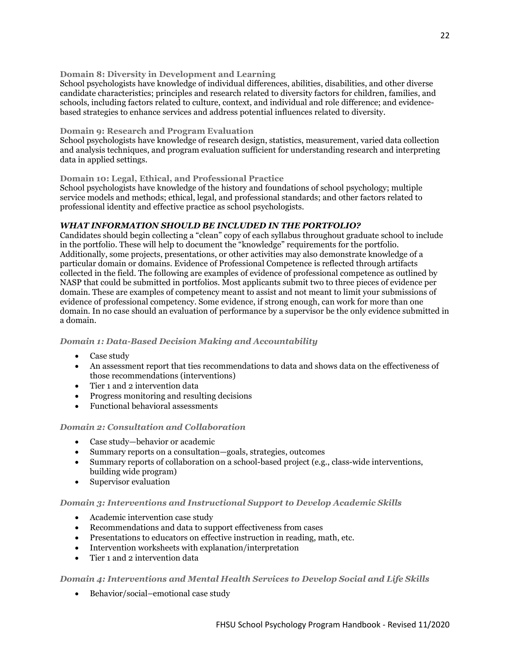#### **Domain 8: Diversity in Development and Learning**

School psychologists have knowledge of individual differences, abilities, disabilities, and other diverse candidate characteristics; principles and research related to diversity factors for children, families, and schools, including factors related to culture, context, and individual and role difference; and evidencebased strategies to enhance services and address potential influences related to diversity.

#### **Domain 9: Research and Program Evaluation**

School psychologists have knowledge of research design, statistics, measurement, varied data collection and analysis techniques, and program evaluation sufficient for understanding research and interpreting data in applied settings.

#### **Domain 10: Legal, Ethical, and Professional Practice**

School psychologists have knowledge of the history and foundations of school psychology; multiple service models and methods; ethical, legal, and professional standards; and other factors related to professional identity and effective practice as school psychologists.

#### *WHAT INFORMATION SHOULD BE INCLUDED IN THE PORTFOLIO?*

Candidates should begin collecting a "clean" copy of each syllabus throughout graduate school to include in the portfolio. These will help to document the "knowledge" requirements for the portfolio. Additionally, some projects, presentations, or other activities may also demonstrate knowledge of a particular domain or domains. Evidence of Professional Competence is reflected through artifacts collected in the field. The following are examples of evidence of professional competence as outlined by NASP that could be submitted in portfolios. Most applicants submit two to three pieces of evidence per domain. These are examples of competency meant to assist and not meant to limit your submissions of evidence of professional competency. Some evidence, if strong enough, can work for more than one domain. In no case should an evaluation of performance by a supervisor be the only evidence submitted in a domain.

#### *Domain 1: Data-Based Decision Making and Accountability*

- Case study
- An assessment report that ties recommendations to data and shows data on the effectiveness of those recommendations (interventions)
- Tier 1 and 2 intervention data
- Progress monitoring and resulting decisions
- Functional behavioral assessments

#### *Domain 2: Consultation and Collaboration*

- Case study—behavior or academic
- Summary reports on a consultation—goals, strategies, outcomes
- Summary reports of collaboration on a school-based project (e.g., class-wide interventions, building wide program)
- Supervisor evaluation

#### *Domain 3: Interventions and Instructional Support to Develop Academic Skills*

- Academic intervention case study
- Recommendations and data to support effectiveness from cases
- Presentations to educators on effective instruction in reading, math, etc.
- Intervention worksheets with explanation/interpretation
- Tier 1 and 2 intervention data

#### *Domain 4: Interventions and Mental Health Services to Develop Social and Life Skills*

• Behavior/social–emotional case study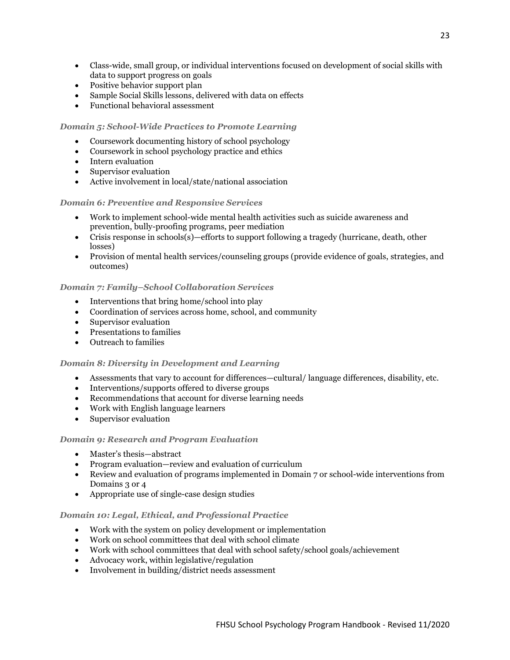- Class-wide, small group, or individual interventions focused on development of social skills with data to support progress on goals
- Positive behavior support plan
- Sample Social Skills lessons, delivered with data on effects
- Functional behavioral assessment

# *Domain 5: School-Wide Practices to Promote Learning*

- Coursework documenting history of school psychology
- Coursework in school psychology practice and ethics
- Intern evaluation
- Supervisor evaluation
- Active involvement in local/state/national association

#### *Domain 6: Preventive and Responsive Services*

- Work to implement school-wide mental health activities such as suicide awareness and prevention, bully-proofing programs, peer mediation
- Crisis response in schools(s)—efforts to support following a tragedy (hurricane, death, other losses)
- Provision of mental health services/counseling groups (provide evidence of goals, strategies, and outcomes)

#### *Domain 7: Family–School Collaboration Services*

- Interventions that bring home/school into play
- Coordination of services across home, school, and community
- Supervisor evaluation
- Presentations to families
- Outreach to families

#### *Domain 8: Diversity in Development and Learning*

- Assessments that vary to account for differences—cultural/ language differences, disability, etc.
- Interventions/supports offered to diverse groups
- Recommendations that account for diverse learning needs
- Work with English language learners
- Supervisor evaluation

#### *Domain 9: Research and Program Evaluation*

- Master's thesis—abstract
- Program evaluation—review and evaluation of curriculum
- Review and evaluation of programs implemented in Domain 7 or school-wide interventions from Domains 3 or 4
- Appropriate use of single-case design studies

#### *Domain 10: Legal, Ethical, and Professional Practice*

- Work with the system on policy development or implementation
- Work on school committees that deal with school climate
- Work with school committees that deal with school safety/school goals/achievement
- Advocacy work, within legislative/regulation
- Involvement in building/district needs assessment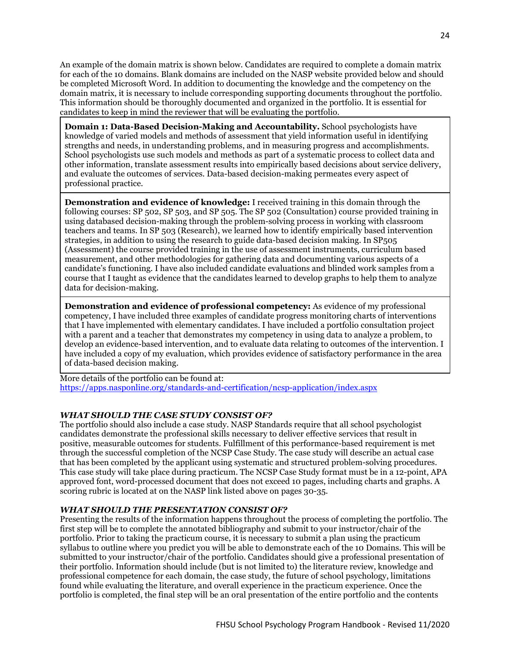An example of the domain matrix is shown below. Candidates are required to complete a domain matrix for each of the 10 domains. Blank domains are included on the NASP website provided below and should be completed Microsoft Word. In addition to documenting the knowledge and the competency on the domain matrix, it is necessary to include corresponding supporting documents throughout the portfolio. This information should be thoroughly documented and organized in the portfolio. It is essential for candidates to keep in mind the reviewer that will be evaluating the portfolio.

**Domain 1: Data-Based Decision-Making and Accountability.** School psychologists have knowledge of varied models and methods of assessment that yield information useful in identifying strengths and needs, in understanding problems, and in measuring progress and accomplishments. School psychologists use such models and methods as part of a systematic process to collect data and other information, translate assessment results into empirically based decisions about service delivery, and evaluate the outcomes of services. Data-based decision-making permeates every aspect of professional practice.

**Demonstration and evidence of knowledge:** I received training in this domain through the following courses: SP 502, SP 503, and SP 505. The SP 502 (Consultation) course provided training in using databased decision-making through the problem-solving process in working with classroom teachers and teams. In SP 503 (Research), we learned how to identify empirically based intervention strategies, in addition to using the research to guide data-based decision making. In SP505 (Assessment) the course provided training in the use of assessment instruments, curriculum based measurement, and other methodologies for gathering data and documenting various aspects of a candidate's functioning. I have also included candidate evaluations and blinded work samples from a course that I taught as evidence that the candidates learned to develop graphs to help them to analyze data for decision-making.

**Demonstration and evidence of professional competency:** As evidence of my professional competency, I have included three examples of candidate progress monitoring charts of interventions that I have implemented with elementary candidates. I have included a portfolio consultation project with a parent and a teacher that demonstrates my competency in using data to analyze a problem, to develop an evidence-based intervention, and to evaluate data relating to outcomes of the intervention. I have included a copy of my evaluation, which provides evidence of satisfactory performance in the area of data-based decision making.

More details of the portfolio can be found at: <https://apps.nasponline.org/standards-and-certification/ncsp-application/index.aspx>

# *WHAT SHOULD THE CASE STUDY CONSIST OF?*

The portfolio should also include a case study. NASP Standards require that all school psychologist candidates demonstrate the professional skills necessary to deliver effective services that result in positive, measurable outcomes for students. Fulfillment of this performance-based requirement is met through the successful completion of the NCSP Case Study. The case study will describe an actual case that has been completed by the applicant using systematic and structured problem-solving procedures. This case study will take place during practicum. The NCSP Case Study format must be in a 12-point, APA approved font, word-processed document that does not exceed 10 pages, including charts and graphs. A scoring rubric is located at on the NASP link listed above on pages 30-35.

#### *WHAT SHOULD THE PRESENTATION CONSIST OF?*

Presenting the results of the information happens throughout the process of completing the portfolio. The first step will be to complete the annotated bibliography and submit to your instructor/chair of the portfolio. Prior to taking the practicum course, it is necessary to submit a plan using the practicum syllabus to outline where you predict you will be able to demonstrate each of the 10 Domains. This will be submitted to your instructor/chair of the portfolio. Candidates should give a professional presentation of their portfolio. Information should include (but is not limited to) the literature review, knowledge and professional competence for each domain, the case study, the future of school psychology, limitations found while evaluating the literature, and overall experience in the practicum experience. Once the portfolio is completed, the final step will be an oral presentation of the entire portfolio and the contents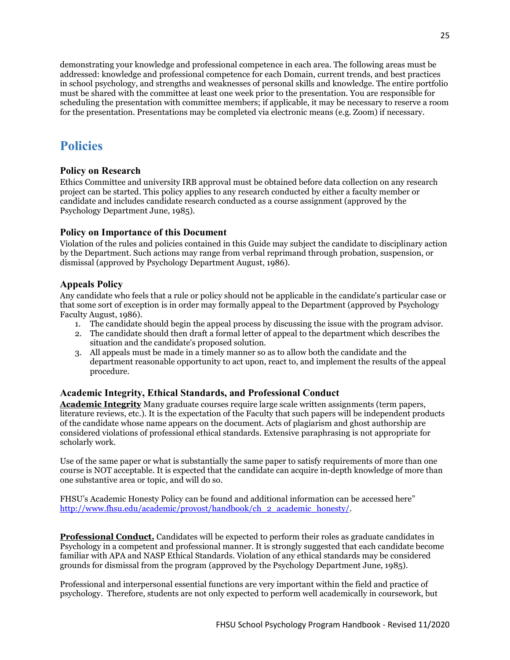demonstrating your knowledge and professional competence in each area. The following areas must be addressed: knowledge and professional competence for each Domain, current trends, and best practices in school psychology, and strengths and weaknesses of personal skills and knowledge. The entire portfolio must be shared with the committee at least one week prior to the presentation. You are responsible for scheduling the presentation with committee members; if applicable, it may be necessary to reserve a room for the presentation. Presentations may be completed via electronic means (e.g. Zoom) if necessary.

# <span id="page-24-0"></span>**Policies**

# <span id="page-24-1"></span>**Policy on Research**

Ethics Committee and university IRB approval must be obtained before data collection on any research project can be started. This policy applies to any research conducted by either a faculty member or candidate and includes candidate research conducted as a course assignment (approved by the Psychology Department June, 1985).

# <span id="page-24-2"></span>**Policy on Importance of this Document**

Violation of the rules and policies contained in this Guide may subject the candidate to disciplinary action by the Department. Such actions may range from verbal reprimand through probation, suspension, or dismissal (approved by Psychology Department August, 1986).

# <span id="page-24-3"></span>**Appeals Policy**

Any candidate who feels that a rule or policy should not be applicable in the candidate's particular case or that some sort of exception is in order may formally appeal to the Department (approved by Psychology Faculty August, 1986).

- 1. The candidate should begin the appeal process by discussing the issue with the program advisor.
- 2. The candidate should then draft a formal letter of appeal to the department which describes the situation and the candidate's proposed solution.
- 3. All appeals must be made in a timely manner so as to allow both the candidate and the department reasonable opportunity to act upon, react to, and implement the results of the appeal procedure.

# <span id="page-24-4"></span>**Academic Integrity, Ethical Standards, and Professional Conduct**

**Academic Integrity** Many graduate courses require large scale written assignments (term papers, literature reviews, etc.). It is the expectation of the Faculty that such papers will be independent products of the candidate whose name appears on the document. Acts of plagiarism and ghost authorship are considered violations of professional ethical standards. Extensive paraphrasing is not appropriate for scholarly work.

Use of the same paper or what is substantially the same paper to satisfy requirements of more than one course is NOT acceptable. It is expected that the candidate can acquire in-depth knowledge of more than one substantive area or topic, and will do so.

FHSU's Academic Honesty Policy can be found and additional information can be accessed here" [http://www.fhsu.edu/academic/provost/handbook/ch\\_2\\_academic\\_honesty/.](http://www.fhsu.edu/academic/provost/handbook/ch_2_academic_honesty/)

**Professional Conduct.** Candidates will be expected to perform their roles as graduate candidates in Psychology in a competent and professional manner. It is strongly suggested that each candidate become familiar with APA and NASP Ethical Standards. Violation of any ethical standards may be considered grounds for dismissal from the program (approved by the Psychology Department June, 1985).

Professional and interpersonal essential functions are very important within the field and practice of psychology. Therefore, students are not only expected to perform well academically in coursework, but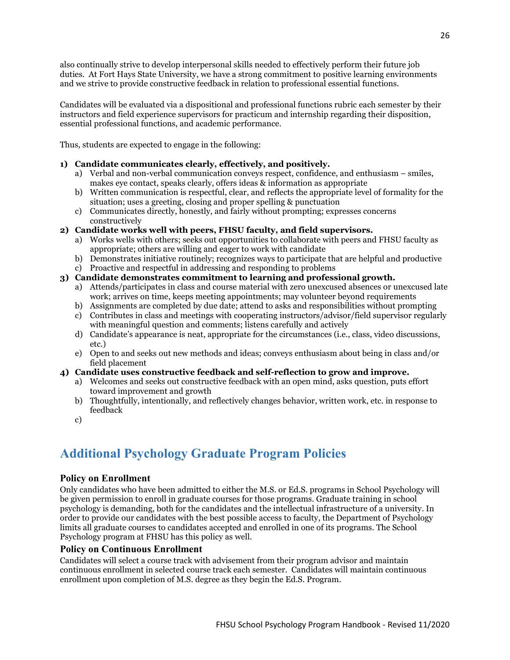also continually strive to develop interpersonal skills needed to effectively perform their future job duties. At Fort Hays State University, we have a strong commitment to positive learning environments and we strive to provide constructive feedback in relation to professional essential functions.

Candidates will be evaluated via a dispositional and professional functions rubric each semester by their instructors and field experience supervisors for practicum and internship regarding their disposition, essential professional functions, and academic performance.

Thus, students are expected to engage in the following:

# **1) Candidate communicates clearly, effectively, and positively.**

- a) Verbal and non-verbal communication conveys respect, confidence, and enthusiasm smiles, makes eye contact, speaks clearly, offers ideas & information as appropriate
- b) Written communication is respectful, clear, and reflects the appropriate level of formality for the situation; uses a greeting, closing and proper spelling & punctuation
- c) Communicates directly, honestly, and fairly without prompting; expresses concerns constructively
- **2) Candidate works well with peers, FHSU faculty, and field supervisors.**
	- a) Works wells with others; seeks out opportunities to collaborate with peers and FHSU faculty as appropriate; others are willing and eager to work with candidate
	- b) Demonstrates initiative routinely; recognizes ways to participate that are helpful and productive
	- c) Proactive and respectful in addressing and responding to problems

# **3) Candidate demonstrates commitment to learning and professional growth.**

- a) Attends/participates in class and course material with zero unexcused absences or unexcused late work; arrives on time, keeps meeting appointments; may volunteer beyond requirements
- b) Assignments are completed by due date; attend to asks and responsibilities without prompting
- c) Contributes in class and meetings with cooperating instructors/advisor/field supervisor regularly with meaningful question and comments; listens carefully and actively
- d) Candidate's appearance is neat, appropriate for the circumstances (i.e., class, video discussions, etc.)
- e) Open to and seeks out new methods and ideas; conveys enthusiasm about being in class and/or field placement
- **4) Candidate uses constructive feedback and self-reflection to grow and improve.**
	- a) Welcomes and seeks out constructive feedback with an open mind, asks question, puts effort toward improvement and growth
	- b) Thoughtfully, intentionally, and reflectively changes behavior, written work, etc. in response to feedback
	- c)

# <span id="page-25-0"></span>**Additional Psychology Graduate Program Policies**

# <span id="page-25-1"></span>**Policy on Enrollment**

Only candidates who have been admitted to either the M.S. or Ed.S. programs in School Psychology will be given permission to enroll in graduate courses for those programs. Graduate training in school psychology is demanding, both for the candidates and the intellectual infrastructure of a university. In order to provide our candidates with the best possible access to faculty, the Department of Psychology limits all graduate courses to candidates accepted and enrolled in one of its programs. The School Psychology program at FHSU has this policy as well.

# <span id="page-25-2"></span>**Policy on Continuous Enrollment**

Candidates will select a course track with advisement from their program advisor and maintain continuous enrollment in selected course track each semester. Candidates will maintain continuous enrollment upon completion of M.S. degree as they begin the Ed.S. Program.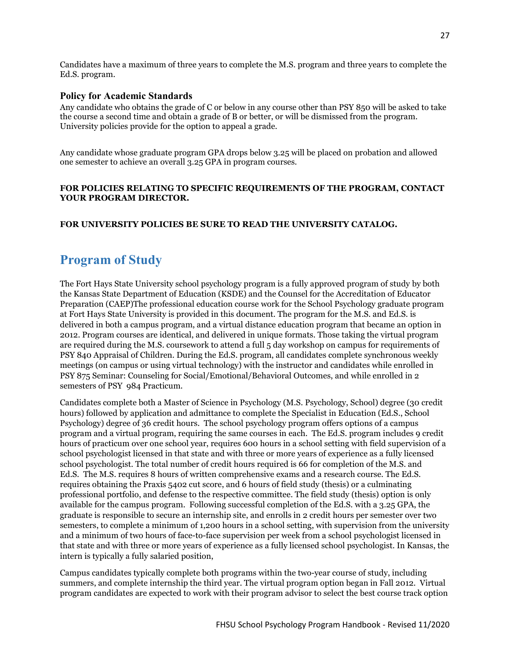Candidates have a maximum of three years to complete the M.S. program and three years to complete the Ed.S. program.

### <span id="page-26-0"></span>**Policy for Academic Standards**

Any candidate who obtains the grade of C or below in any course other than PSY 850 will be asked to take the course a second time and obtain a grade of B or better, or will be dismissed from the program. University policies provide for the option to appeal a grade.

Any candidate whose graduate program GPA drops below 3.25 will be placed on probation and allowed one semester to achieve an overall 3.25 GPA in program courses.

### **FOR POLICIES RELATING TO SPECIFIC REQUIREMENTS OF THE PROGRAM, CONTACT YOUR PROGRAM DIRECTOR.**

### **FOR UNIVERSITY POLICIES BE SURE TO READ THE UNIVERSITY CATALOG.**

# <span id="page-26-1"></span>**Program of Study**

The Fort Hays State University school psychology program is a fully approved program of study by both the Kansas State Department of Education (KSDE) and the Counsel for the Accreditation of Educator Preparation (CAEP)The professional education course work for the School Psychology graduate program at Fort Hays State University is provided in this document. The program for the M.S. and Ed.S. is delivered in both a campus program, and a virtual distance education program that became an option in 2012. Program courses are identical, and delivered in unique formats. Those taking the virtual program are required during the M.S. coursework to attend a full 5 day workshop on campus for requirements of PSY 840 Appraisal of Children. During the Ed.S. program, all candidates complete synchronous weekly meetings (on campus or using virtual technology) with the instructor and candidates while enrolled in PSY 875 Seminar: Counseling for Social/Emotional/Behavioral Outcomes, and while enrolled in 2 semesters of PSY 984 Practicum.

Candidates complete both a Master of Science in Psychology (M.S. Psychology, School) degree (30 credit hours) followed by application and admittance to complete the Specialist in Education (Ed.S., School Psychology) degree of 36 credit hours. The school psychology program offers options of a campus program and a virtual program, requiring the same courses in each. The Ed.S. program includes 9 credit hours of practicum over one school year, requires 600 hours in a school setting with field supervision of a school psychologist licensed in that state and with three or more years of experience as a fully licensed school psychologist. The total number of credit hours required is 66 for completion of the M.S. and Ed.S. The M.S. requires 8 hours of written comprehensive exams and a research course. The Ed.S. requires obtaining the Praxis 5402 cut score, and 6 hours of field study (thesis) or a culminating professional portfolio, and defense to the respective committee. The field study (thesis) option is only available for the campus program. Following successful completion of the Ed.S. with a 3.25 GPA, the graduate is responsible to secure an internship site, and enrolls in 2 credit hours per semester over two semesters, to complete a minimum of 1,200 hours in a school setting, with supervision from the university and a minimum of two hours of face-to-face supervision per week from a school psychologist licensed in that state and with three or more years of experience as a fully licensed school psychologist. In Kansas, the intern is typically a fully salaried position,

Campus candidates typically complete both programs within the two-year course of study, including summers, and complete internship the third year. The virtual program option began in Fall 2012. Virtual program candidates are expected to work with their program advisor to select the best course track option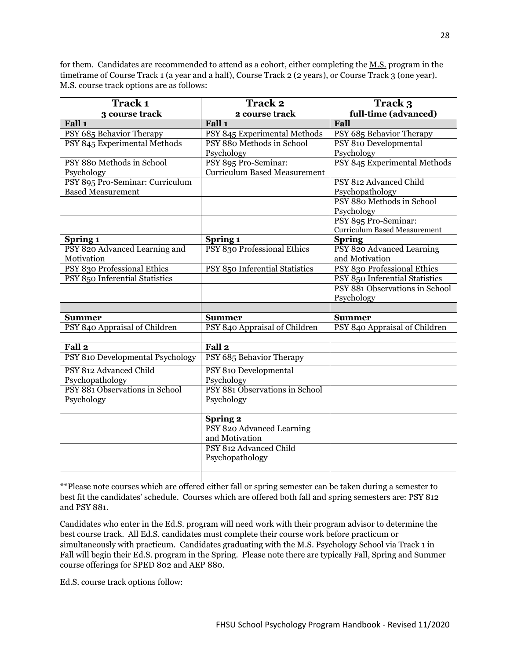for them. Candidates are recommended to attend as a cohort, either completing the M.S. program in the timeframe of Course Track 1 (a year and a half), Course Track 2 (2 years), or Course Track 3 (one year). M.S. course track options are as follows:

| Track 1                          | <b>Track 2</b>                      | Track 3                             |
|----------------------------------|-------------------------------------|-------------------------------------|
| 3 course track                   | 2 course track                      | full-time (advanced)                |
| Fall 1                           | Fall 1                              | Fall                                |
| PSY 685 Behavior Therapy         | PSY 845 Experimental Methods        | PSY 685 Behavior Therapy            |
| PSY 845 Experimental Methods     | PSY 880 Methods in School           | PSY 810 Developmental               |
|                                  | Psychology                          | Psychology                          |
| PSY 880 Methods in School        | PSY 895 Pro-Seminar:                | PSY 845 Experimental Methods        |
| Psychology                       | <b>Curriculum Based Measurement</b> |                                     |
| PSY 895 Pro-Seminar: Curriculum  |                                     | PSY 812 Advanced Child              |
| <b>Based Measurement</b>         |                                     | Psychopathology                     |
|                                  |                                     | PSY 880 Methods in School           |
|                                  |                                     | Psychology                          |
|                                  |                                     | PSY 895 Pro-Seminar:                |
|                                  |                                     | <b>Curriculum Based Measurement</b> |
| Spring 1                         | Spring 1                            | <b>Spring</b>                       |
| PSY 820 Advanced Learning and    | PSY 830 Professional Ethics         | PSY 820 Advanced Learning           |
| Motivation                       |                                     | and Motivation                      |
| PSY 830 Professional Ethics      | PSY 850 Inferential Statistics      | PSY 830 Professional Ethics         |
| PSY 850 Inferential Statistics   |                                     | PSY 850 Inferential Statistics      |
|                                  |                                     | PSY 881 Observations in School      |
|                                  |                                     | Psychology                          |
|                                  |                                     |                                     |
| <b>Summer</b>                    | <b>Summer</b>                       | <b>Summer</b>                       |
| PSY 840 Appraisal of Children    | PSY 840 Appraisal of Children       | PSY 840 Appraisal of Children       |
| Fall <sub>2</sub>                | Fall <sub>2</sub>                   |                                     |
| PSY 810 Developmental Psychology | PSY 685 Behavior Therapy            |                                     |
| PSY 812 Advanced Child           | PSY 810 Developmental               |                                     |
| Psychopathology                  | Psychology                          |                                     |
| PSY 881 Observations in School   | PSY 881 Observations in School      |                                     |
| Psychology                       | Psychology                          |                                     |
|                                  |                                     |                                     |
|                                  | <b>Spring 2</b>                     |                                     |
|                                  | PSY 820 Advanced Learning           |                                     |
|                                  | and Motivation                      |                                     |
|                                  | PSY 812 Advanced Child              |                                     |
|                                  | Psychopathology                     |                                     |
|                                  |                                     |                                     |
|                                  |                                     |                                     |

\*\*Please note courses which are offered either fall or spring semester can be taken during a semester to best fit the candidates' schedule. Courses which are offered both fall and spring semesters are: PSY 812 and PSY 881.

Candidates who enter in the Ed.S. program will need work with their program advisor to determine the best course track. All Ed.S. candidates must complete their course work before practicum or simultaneously with practicum. Candidates graduating with the M.S. Psychology School via Track 1 in Fall will begin their Ed.S. program in the Spring. Please note there are typically Fall, Spring and Summer course offerings for SPED 802 and AEP 880.

Ed.S. course track options follow: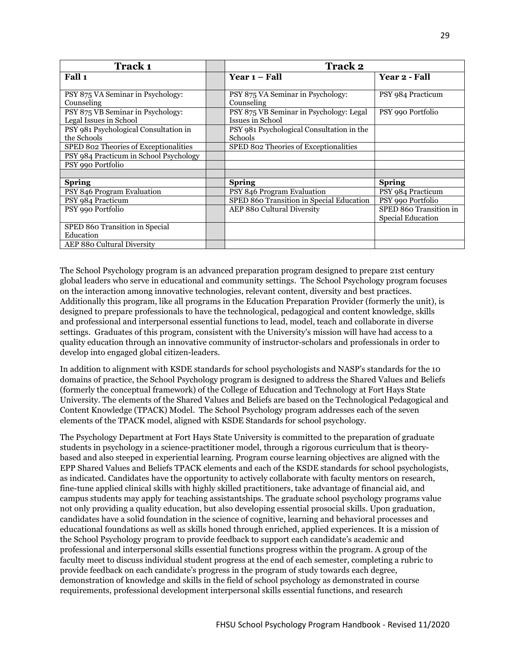| <b>Track 1</b>                                              | <b>Track 2</b>                                              |                                             |
|-------------------------------------------------------------|-------------------------------------------------------------|---------------------------------------------|
| Fall 1                                                      | Year 1 – Fall                                               | Year 2 - Fall                               |
| PSY 875 VA Seminar in Psychology:<br>Counseling             | PSY 875 VA Seminar in Psychology:<br>Counseling             | PSY 984 Practicum                           |
| PSY 875 VB Seminar in Psychology:<br>Legal Issues in School | PSY 875 VB Seminar in Psychology: Legal<br>Issues in School | PSY 990 Portfolio                           |
| PSY 981 Psychological Consultation in<br>the Schools        | PSY 981 Psychological Consultation in the<br>Schools        |                                             |
| SPED 802 Theories of Exceptionalities                       | SPED 802 Theories of Exceptionalities                       |                                             |
| PSY 984 Practicum in School Psychology                      |                                                             |                                             |
| PSY 990 Portfolio                                           |                                                             |                                             |
|                                                             |                                                             |                                             |
| <b>Spring</b>                                               | <b>Spring</b>                                               | <b>Spring</b>                               |
| PSY 846 Program Evaluation                                  | PSY 846 Program Evaluation                                  | PSY 984 Practicum                           |
| PSY 984 Practicum                                           | SPED 860 Transition in Special Education                    | PSY 990 Portfolio                           |
| PSY 990 Portfolio                                           | AEP 880 Cultural Diversity                                  | SPED 860 Transition in<br>Special Education |
| SPED 860 Transition in Special                              |                                                             |                                             |
| Education                                                   |                                                             |                                             |
| AEP 880 Cultural Diversity                                  |                                                             |                                             |

The School Psychology program is an advanced preparation program designed to prepare 21st century global leaders who serve in educational and community settings. The School Psychology program focuses on the interaction among innovative technologies, relevant content, diversity and best practices. Additionally this program, like all programs in the Education Preparation Provider (formerly the unit), is designed to prepare professionals to have the technological, pedagogical and content knowledge, skills and professional and interpersonal essential functions to lead, model, teach and collaborate in diverse settings. Graduates of this program, consistent with the University's mission will have had access to a quality education through an innovative community of instructor-scholars and professionals in order to develop into engaged global citizen-leaders.

In addition to alignment with KSDE standards for school psychologists and NASP's standards for the 10 domains of practice, the School Psychology program is designed to address the Shared Values and Beliefs (formerly the conceptual framework) of the College of Education and Technology at Fort Hays State University. The elements of the Shared Values and Beliefs are based on the Technological Pedagogical and Content Knowledge (TPACK) Model. The School Psychology program addresses each of the seven elements of the TPACK model, aligned with KSDE Standards for school psychology.

The Psychology Department at Fort Hays State University is committed to the preparation of graduate students in psychology in a science-practitioner model, through a rigorous curriculum that is theorybased and also steeped in experiential learning. Program course learning objectives are aligned with the EPP Shared Values and Beliefs TPACK elements and each of the KSDE standards for school psychologists, as indicated. Candidates have the opportunity to actively collaborate with faculty mentors on research, fine-tune applied clinical skills with highly skilled practitioners, take advantage of financial aid, and campus students may apply for teaching assistantships. The graduate school psychology programs value not only providing a quality education, but also developing essential prosocial skills. Upon graduation, candidates have a solid foundation in the science of cognitive, learning and behavioral processes and educational foundations as well as skills honed through enriched, applied experiences. It is a mission of the School Psychology program to provide feedback to support each candidate's academic and professional and interpersonal skills essential functions progress within the program. A group of the faculty meet to discuss individual student progress at the end of each semester, completing a rubric to provide feedback on each candidate's progress in the program of study towards each degree, demonstration of knowledge and skills in the field of school psychology as demonstrated in course requirements, professional development interpersonal skills essential functions, and research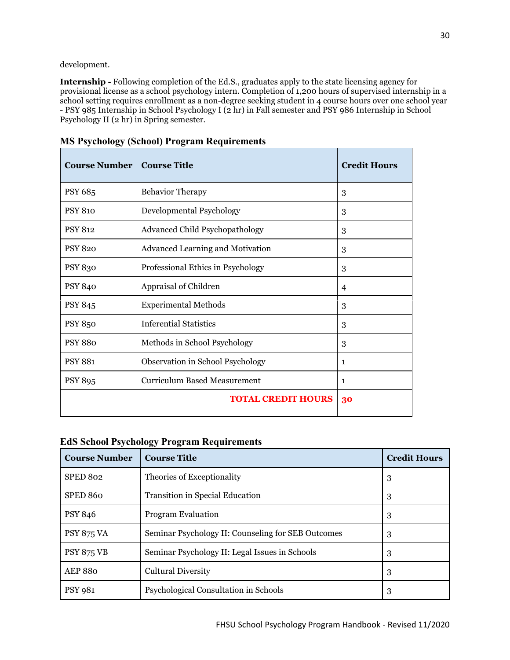development.

**Internship -** Following completion of the Ed.S., graduates apply to the state licensing agency for provisional license as a school psychology intern. Completion of 1,200 hours of supervised internship in a school setting requires enrollment as a non-degree seeking student in 4 course hours over one school year - PSY 985 Internship in School Psychology I (2 hr) in Fall semester and PSY 986 Internship in School Psychology II (2 hr) in Spring semester.

| <b>Course Number</b> | <b>Course Title</b>                   | <b>Credit Hours</b> |
|----------------------|---------------------------------------|---------------------|
| PSY 685              | <b>Behavior Therapy</b>               | 3                   |
| <b>PSY 810</b>       | Developmental Psychology              | 3                   |
| <b>PSY 812</b>       | <b>Advanced Child Psychopathology</b> | 3                   |
| <b>PSY 820</b>       | Advanced Learning and Motivation      | 3                   |
| <b>PSY 830</b>       | Professional Ethics in Psychology     | 3                   |
| <b>PSY 840</b>       | Appraisal of Children                 | 4                   |
| <b>PSY 845</b>       | <b>Experimental Methods</b>           | 3                   |
| <b>PSY 850</b>       | <b>Inferential Statistics</b>         | 3                   |
| <b>PSY 880</b>       | Methods in School Psychology          | 3                   |
| <b>PSY 881</b>       | Observation in School Psychology      | 1                   |
| <b>PSY 895</b>       | <b>Curriculum Based Measurement</b>   | $\mathbf{1}$        |
|                      | <b>TOTAL CREDIT HOURS</b>             | 30                  |

# <span id="page-29-0"></span>**MS Psychology (School) Program Requirements**

# <span id="page-29-1"></span>**EdS School Psychology Program Requirements**

| <b>Course Number</b> | <b>Course Title</b>                                | <b>Credit Hours</b> |
|----------------------|----------------------------------------------------|---------------------|
| SPED 802             | Theories of Exceptionality                         | 3                   |
| SPED 860             | Transition in Special Education                    | 3                   |
| <b>PSY 846</b>       | <b>Program Evaluation</b>                          | 3                   |
| <b>PSY 875 VA</b>    | Seminar Psychology II: Counseling for SEB Outcomes | 3                   |
| <b>PSY 875 VB</b>    | Seminar Psychology II: Legal Issues in Schools     | 3                   |
| <b>AEP 880</b>       | <b>Cultural Diversity</b>                          | 3                   |
| <b>PSY 981</b>       | Psychological Consultation in Schools              | 3                   |